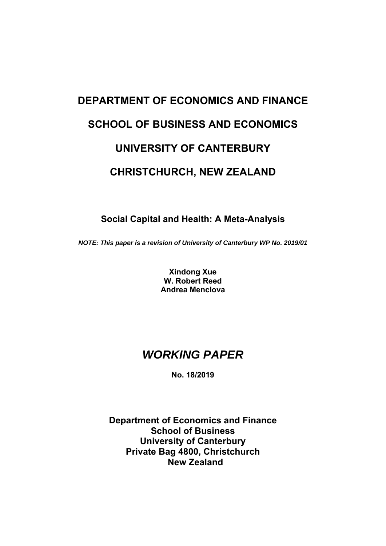# **DEPARTMENT OF ECONOMICS AND FINANCE SCHOOL OF BUSINESS AND ECONOMICS UNIVERSITY OF CANTERBURY CHRISTCHURCH, NEW ZEALAND**

# **Social Capital and Health: A Meta-Analysis**

*NOTE: This paper is a revision of University of Canterbury WP No. 2019/01*

**Xindong Xue W. Robert Reed Andrea Menclova** 

# *WORKING PAPER*

**No. 18/2019** 

**Department of Economics and Finance School of Business University of Canterbury Private Bag 4800, Christchurch New Zealand**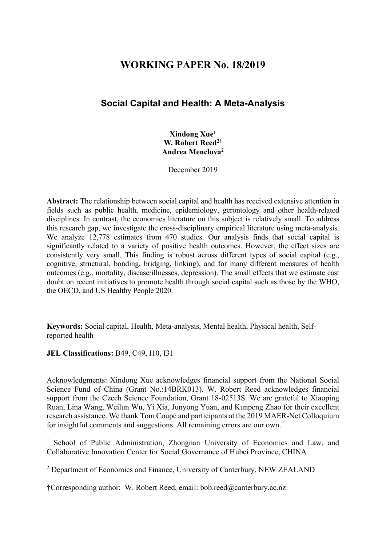# **WORKING PAPER No. 18/2019**

# **Social Capital and Health: A Meta-Analysis**

**Xindong Xue1 W. Robert Reed2**† **Andrea Menclova2** 

December 2019

**Abstract:** The relationship between social capital and health has received extensive attention in fields such as public health, medicine, epidemiology, gerontology and other health-related disciplines. In contrast, the economics literature on this subject is relatively small. To address this research gap, we investigate the cross-disciplinary empirical literature using meta-analysis. We analyze 12,778 estimates from 470 studies. Our analysis finds that social capital is significantly related to a variety of positive health outcomes. However, the effect sizes are consistently very small. This finding is robust across different types of social capital (e.g., cognitive, structural, bonding, bridging, linking), and for many different measures of health outcomes (e.g., mortality, disease/illnesses, depression). The small effects that we estimate cast doubt on recent initiatives to promote health through social capital such as those by the WHO, the OECD, and US Healthy People 2020.

**Keywords:** Social capital, Health, Meta-analysis, Mental health, Physical health, Selfreported health

#### **JEL Classifications:** B49, C49, I10, I31

Acknowledgments: Xindong Xue acknowledges financial support from the National Social Science Fund of China (Grant No.:14BRK013). W. Robert Reed acknowledges financial support from the Czech Science Foundation, Grant 18-02513S. We are grateful to Xiaoping Ruan, Lina Wang, Weilun Wu, Yi Xia, Junyong Yuan, and Kunpeng Zhao for their excellent research assistance. We thank Tom Coupé and participants at the 2019 MAER-Net Colloquium for insightful comments and suggestions. All remaining errors are our own.

<sup>1</sup> School of Public Administration, Zhongnan University of Economics and Law, and Collaborative Innovation Center for Social Governance of Hubei Province, CHINA

<sup>2</sup> Department of Economics and Finance, University of Canterbury, NEW ZEALAND

†Corresponding author: W. Robert Reed, email: bob.reed@canterbury.ac.nz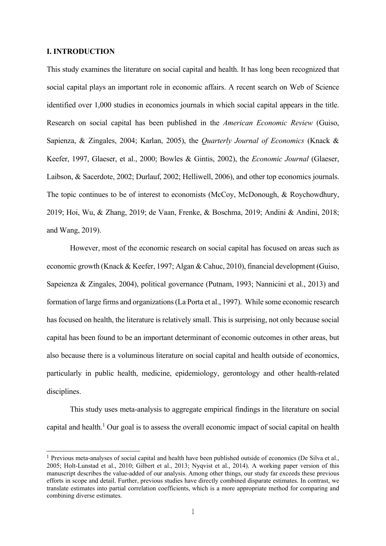#### **I. INTRODUCTION**

This study examines the literature on social capital and health. It has long been recognized that social capital plays an important role in economic affairs. A recent search on Web of Science identified over 1,000 studies in economics journals in which social capital appears in the title. Research on social capital has been published in the *American Economic Review* (Guiso, Sapienza, & Zingales, 2004; Karlan, 2005), the *Quarterly Journal of Economics* (Knack & Keefer, 1997, Glaeser, et al., 2000; Bowles & Gintis, 2002), the *Economic Journal* (Glaeser, Laibson, & Sacerdote, 2002; Durlauf, 2002; Helliwell, 2006), and other top economics journals. The topic continues to be of interest to economists (McCoy, McDonough, & Roychowdhury, 2019; Hoi, Wu, & Zhang, 2019; de Vaan, Frenke, & Boschma, 2019; Andini & Andini, 2018; and Wang, 2019).

 However, most of the economic research on social capital has focused on areas such as economic growth (Knack & Keefer, 1997; Algan & Cahuc, 2010), financial development (Guiso, Sapeienza & Zingales, 2004), political governance (Putnam, 1993; Nannicini et al., 2013) and formation of large firms and organizations (La Porta et al., 1997). While some economic research has focused on health, the literature is relatively small. This is surprising, not only because social capital has been found to be an important determinant of economic outcomes in other areas, but also because there is a voluminous literature on social capital and health outside of economics, particularly in public health, medicine, epidemiology, gerontology and other health-related disciplines.

 This study uses meta-analysis to aggregate empirical findings in the literature on social capital and health.<sup>1</sup> Our goal is to assess the overall economic impact of social capital on health

<sup>&</sup>lt;sup>1</sup> Previous meta-analyses of social capital and health have been published outside of economics (De Silva et al., 2005; Holt-Lunstad et al., 2010; Gilbert et al., 2013; Nyqvist et al., 2014). A working paper version of this manuscript describes the value-added of our analysis. Among other things, our study far exceeds these previous efforts in scope and detail. Further, previous studies have directly combined disparate estimates. In contrast, we translate estimates into partial correlation coefficients, which is a more appropriate method for comparing and combining diverse estimates.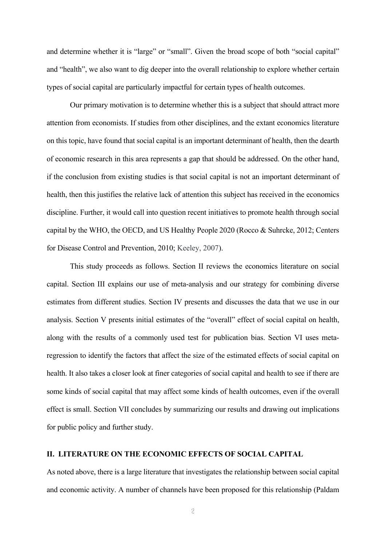and determine whether it is "large" or "small". Given the broad scope of both "social capital" and "health", we also want to dig deeper into the overall relationship to explore whether certain types of social capital are particularly impactful for certain types of health outcomes.

 Our primary motivation is to determine whether this is a subject that should attract more attention from economists. If studies from other disciplines, and the extant economics literature on this topic, have found that social capital is an important determinant of health, then the dearth of economic research in this area represents a gap that should be addressed. On the other hand, if the conclusion from existing studies is that social capital is not an important determinant of health, then this justifies the relative lack of attention this subject has received in the economics discipline. Further, it would call into question recent initiatives to promote health through social capital by the WHO, the OECD, and US Healthy People 2020 (Rocco & Suhrcke, 2012; Centers for Disease Control and Prevention, 2010; Keeley, 2007).

 This study proceeds as follows. Section II reviews the economics literature on social capital. Section III explains our use of meta-analysis and our strategy for combining diverse estimates from different studies. Section IV presents and discusses the data that we use in our analysis. Section V presents initial estimates of the "overall" effect of social capital on health, along with the results of a commonly used test for publication bias. Section VI uses metaregression to identify the factors that affect the size of the estimated effects of social capital on health. It also takes a closer look at finer categories of social capital and health to see if there are some kinds of social capital that may affect some kinds of health outcomes, even if the overall effect is small. Section VII concludes by summarizing our results and drawing out implications for public policy and further study.

#### **II. LITERATURE ON THE ECONOMIC EFFECTS OF SOCIAL CAPITAL**

As noted above, there is a large literature that investigates the relationship between social capital and economic activity. A number of channels have been proposed for this relationship (Paldam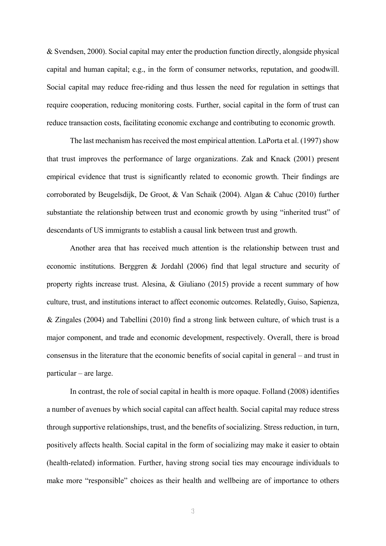& Svendsen, 2000). Social capital may enter the production function directly, alongside physical capital and human capital; e.g., in the form of consumer networks, reputation, and goodwill. Social capital may reduce free-riding and thus lessen the need for regulation in settings that require cooperation, reducing monitoring costs. Further, social capital in the form of trust can reduce transaction costs, facilitating economic exchange and contributing to economic growth.

 The last mechanism has received the most empirical attention. LaPorta et al. (1997) show that trust improves the performance of large organizations. Zak and Knack (2001) present empirical evidence that trust is significantly related to economic growth. Their findings are corroborated by Beugelsdijk, De Groot, & Van Schaik (2004). Algan & Cahuc (2010) further substantiate the relationship between trust and economic growth by using "inherited trust" of descendants of US immigrants to establish a causal link between trust and growth.

 Another area that has received much attention is the relationship between trust and economic institutions. Berggren & Jordahl (2006) find that legal structure and security of property rights increase trust. Alesina, & Giuliano (2015) provide a recent summary of how culture, trust, and institutions interact to affect economic outcomes. Relatedly, Guiso, Sapienza, & Zingales (2004) and Tabellini (2010) find a strong link between culture, of which trust is a major component, and trade and economic development, respectively. Overall, there is broad consensus in the literature that the economic benefits of social capital in general – and trust in particular – are large.

 In contrast, the role of social capital in health is more opaque. Folland (2008) identifies a number of avenues by which social capital can affect health. Social capital may reduce stress through supportive relationships, trust, and the benefits of socializing. Stress reduction, in turn, positively affects health. Social capital in the form of socializing may make it easier to obtain (health-related) information. Further, having strong social ties may encourage individuals to make more "responsible" choices as their health and wellbeing are of importance to others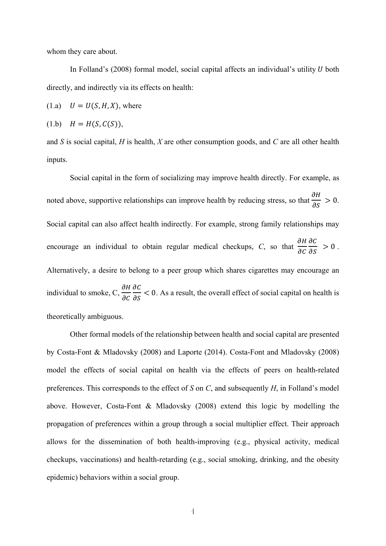whom they care about.

In Folland's (2008) formal model, social capital affects an individual's utility  $U$  both directly, and indirectly via its effects on health:

 $(1.a)$   $U = U(S, H, X)$ , where

$$
(1.b) \quad H = H(S, C(S)),
$$

and *S* is social capital, *H* is health, *X* are other consumption goods, and *C* are all other health inputs.

 Social capital in the form of socializing may improve health directly. For example, as noted above, supportive relationships can improve health by reducing stress, so that  $\frac{\partial H}{\partial S} > 0$ . Social capital can also affect health indirectly. For example, strong family relationships may encourage an individual to obtain regular medical checkups, C, so that  $\frac{\partial H}{\partial \rho}$  $\partial C$  $\frac{\partial C}{\partial S} > 0$ . Alternatively, a desire to belong to a peer group which shares cigarettes may encourage an individual to smoke, C,  $\frac{\partial H}{\partial \rho}$  $\partial C$  $\frac{\partial C}{\partial S}$  < 0. As a result, the overall effect of social capital on health is theoretically ambiguous.

 Other formal models of the relationship between health and social capital are presented by Costa-Font & Mladovsky (2008) and Laporte (2014). Costa-Font and Mladovsky (2008) model the effects of social capital on health via the effects of peers on health-related preferences. This corresponds to the effect of *S* on *C*, and subsequently *H*, in Folland's model above. However, Costa-Font & Mladovsky (2008) extend this logic by modelling the propagation of preferences within a group through a social multiplier effect. Their approach allows for the dissemination of both health-improving (e.g., physical activity, medical checkups, vaccinations) and health-retarding (e.g., social smoking, drinking, and the obesity epidemic) behaviors within a social group.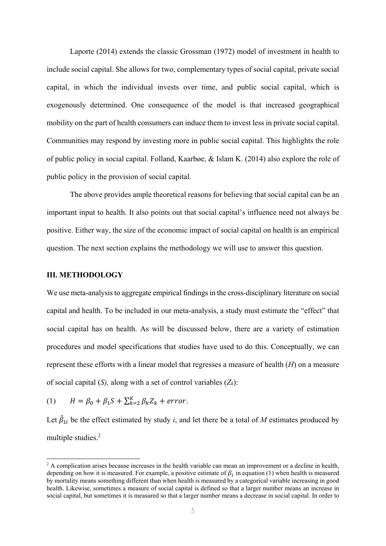Laporte (2014) extends the classic Grossman (1972) model of investment in health to include social capital. She allows for two, complementary types of social capital, private social capital, in which the individual invests over time, and public social capital, which is exogenously determined. One consequence of the model is that increased geographical mobility on the part of health consumers can induce them to invest less in private social capital. Communities may respond by investing more in public social capital. This highlights the role of public policy in social capital. Folland, Kaarbøe, & Islam K. (2014) also explore the role of public policy in the provision of social capital.

 The above provides ample theoretical reasons for believing that social capital can be an important input to health. It also points out that social capital's influence need not always be positive. Either way, the size of the economic impact of social capital on health is an empirical question. The next section explains the methodology we will use to answer this question.

#### **III. METHODOLOGY**

We use meta-analysis to aggregate empirical findings in the cross-disciplinary literature on social capital and health. To be included in our meta-analysis, a study must estimate the "effect" that social capital has on health. As will be discussed below, there are a variety of estimation procedures and model specifications that studies have used to do this. Conceptually, we can represent these efforts with a linear model that regresses a measure of health (*H*) on a measure of social capital (*S),* along with a set of control variables (*Zk*):

(1)  $H = \beta_0 + \beta_1 S + \sum_{k=2}^{K} \beta_k Z_k + error.$ 

Let  $\hat{\beta}_{1i}$  be the effect estimated by study *i*, and let there be a total of *M* estimates produced by multiple studies.<sup>2</sup>

 $2$  A complication arises because increases in the health variable can mean an improvement or a decline in health, depending on how it is measured. For example, a positive estimate of  $\beta_1$  in equation (1) when health is measured by mortality means something different than when health is measured by a categorical variable increasing in good health. Likewise, sometimes a measure of social capital is defined so that a larger number means an increase in social capital, but sometimes it is measured so that a larger number means a decrease in social capital. In order to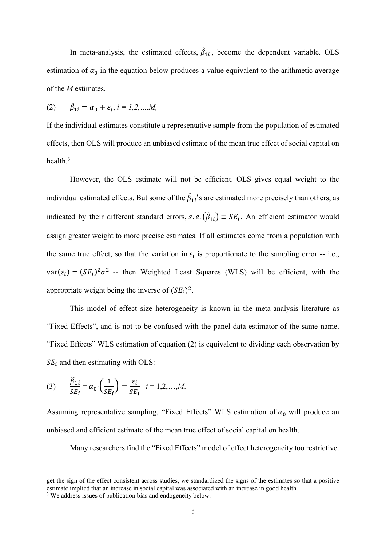In meta-analysis, the estimated effects,  $\hat{\beta}_{1i}$ , become the dependent variable. OLS estimation of  $\alpha_0$  in the equation below produces a value equivalent to the arithmetic average of the *M* estimates.

(2) 
$$
\hat{\beta}_{1i} = \alpha_0 + \varepsilon_i, i = 1, 2, ..., M,
$$

If the individual estimates constitute a representative sample from the population of estimated effects, then OLS will produce an unbiased estimate of the mean true effect of social capital on health.3

However, the OLS estimate will not be efficient. OLS gives equal weight to the individual estimated effects. But some of the  $\hat{\beta}_{1i}$ 's are estimated more precisely than others, as indicated by their different standard errors, s. e.  $(\hat{\beta}_{1i}) \equiv SE_i$ . An efficient estimator would assign greater weight to more precise estimates. If all estimates come from a population with the same true effect, so that the variation in  $\varepsilon_i$  is proportionate to the sampling error -- i.e.,  $var(\varepsilon_i) = (SE_i)^2 \sigma^2$  -- then Weighted Least Squares (WLS) will be efficient, with the appropriate weight being the inverse of  $(SE_i)^2$ .

This model of effect size heterogeneity is known in the meta-analysis literature as "Fixed Effects", and is not to be confused with the panel data estimator of the same name. "Fixed Effects" WLS estimation of equation (2) is equivalent to dividing each observation by  $SE_i$  and then estimating with OLS:

(3) 
$$
\frac{\widehat{\beta}_{1i}}{SE_i} = \alpha_0 \cdot \left(\frac{1}{SE_i}\right) + \frac{\varepsilon_i}{SE_i} \quad i = 1, 2, ..., M.
$$

Assuming representative sampling, "Fixed Effects" WLS estimation of  $\alpha_0$  will produce an unbiased and efficient estimate of the mean true effect of social capital on health.

Many researchers find the "Fixed Effects" model of effect heterogeneity too restrictive.

get the sign of the effect consistent across studies, we standardized the signs of the estimates so that a positive estimate implied that an increase in social capital was associated with an increase in good health.

<sup>&</sup>lt;sup>3</sup> We address issues of publication bias and endogeneity below.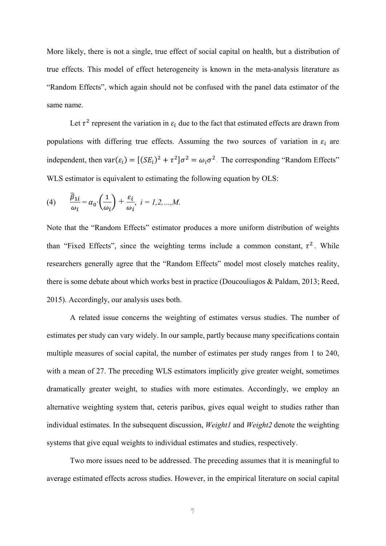More likely, there is not a single, true effect of social capital on health, but a distribution of true effects. This model of effect heterogeneity is known in the meta-analysis literature as "Random Effects", which again should not be confused with the panel data estimator of the same name.

Let  $\tau^2$  represent the variation in  $\varepsilon_i$  due to the fact that estimated effects are drawn from populations with differing true effects. Assuming the two sources of variation in  $\varepsilon_i$  are independent, then  $var(\varepsilon_i) = [(SE_i)^2 + \tau^2] \sigma^2 = \omega_i \sigma^2$ . The corresponding "Random Effects" WLS estimator is equivalent to estimating the following equation by OLS:

(4) 
$$
\frac{\hat{\beta}_{1i}}{\omega_i} = \alpha_0 \cdot \left(\frac{1}{\omega_i}\right) + \frac{\varepsilon_i}{\omega_i}, \quad i = 1, 2, ..., M.
$$

Note that the "Random Effects" estimator produces a more uniform distribution of weights than "Fixed Effects", since the weighting terms include a common constant,  $\tau^2$ . While researchers generally agree that the "Random Effects" model most closely matches reality, there is some debate about which works best in practice (Doucouliagos & Paldam, 2013; Reed, 2015). Accordingly, our analysis uses both.

 A related issue concerns the weighting of estimates versus studies. The number of estimates per study can vary widely. In our sample, partly because many specifications contain multiple measures of social capital, the number of estimates per study ranges from 1 to 240, with a mean of 27. The preceding WLS estimators implicitly give greater weight, sometimes dramatically greater weight, to studies with more estimates. Accordingly, we employ an alternative weighting system that, ceteris paribus, gives equal weight to studies rather than individual estimates. In the subsequent discussion, *Weight1* and *Weight2* denote the weighting systems that give equal weights to individual estimates and studies, respectively.

 Two more issues need to be addressed. The preceding assumes that it is meaningful to average estimated effects across studies. However, in the empirical literature on social capital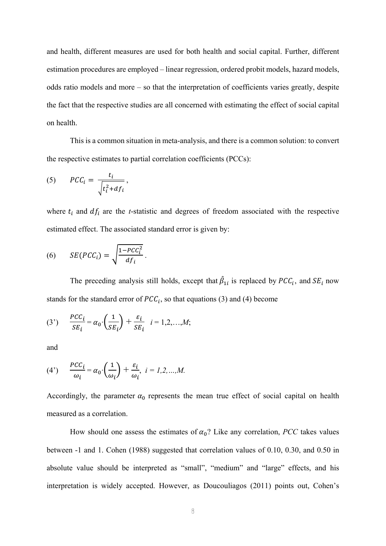and health, different measures are used for both health and social capital. Further, different estimation procedures are employed – linear regression, ordered probit models, hazard models, odds ratio models and more – so that the interpretation of coefficients varies greatly, despite the fact that the respective studies are all concerned with estimating the effect of social capital on health.

 This is a common situation in meta-analysis, and there is a common solution: to convert the respective estimates to partial correlation coefficients (PCCs):

(5) 
$$
PCC_i = \frac{t_i}{\sqrt{t_i^2 + df_i}},
$$

where  $t_i$  and  $df_i$  are the *t*-statistic and degrees of freedom associated with the respective estimated effect. The associated standard error is given by:

(6) 
$$
SE(PCC_i) = \sqrt{\frac{1 - PCC_i^2}{df_i}}.
$$

The preceding analysis still holds, except that  $\hat{\beta}_{1i}$  is replaced by  $PCC_i$ , and  $SE_i$  now stands for the standard error of  $PCC_i$ , so that equations (3) and (4) become

(3') 
$$
\frac{PCC_i}{SE_i} = \alpha_0 \cdot \left(\frac{1}{SE_i}\right) + \frac{\varepsilon_i}{SE_i} \quad i = 1, 2, ..., M;
$$

and

(4') 
$$
\frac{PCC_i}{\omega_i} = \alpha_0 \cdot \left(\frac{1}{\omega_i}\right) + \frac{\varepsilon_i}{\omega_i}, \quad i = 1, 2, ..., M.
$$

Accordingly, the parameter  $\alpha_0$  represents the mean true effect of social capital on health measured as a correlation.

How should one assess the estimates of  $\alpha_0$ ? Like any correlation, *PCC* takes values between -1 and 1. Cohen (1988) suggested that correlation values of 0.10, 0.30, and 0.50 in absolute value should be interpreted as "small", "medium" and "large" effects, and his interpretation is widely accepted. However, as Doucouliagos (2011) points out, Cohen's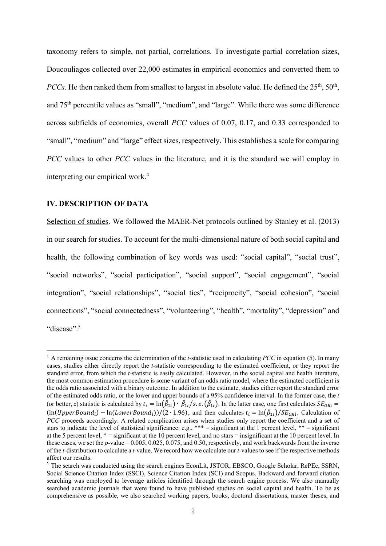taxonomy refers to simple, not partial, correlations. To investigate partial correlation sizes, Doucouliagos collected over 22,000 estimates in empirical economics and converted them to *PCCs*. He then ranked them from smallest to largest in absolute value. He defined the  $25<sup>th</sup>$ ,  $50<sup>th</sup>$ , and 75th percentile values as "small", "medium", and "large". While there was some difference across subfields of economics, overall *PCC* values of 0.07, 0.17, and 0.33 corresponded to "small", "medium" and "large" effect sizes, respectively. This establishes a scale for comparing *PCC* values to other *PCC* values in the literature, and it is the standard we will employ in interpreting our empirical work.4

#### **IV. DESCRIPTION OF DATA**

Selection of studies. We followed the MAER-Net protocols outlined by Stanley et al. (2013) in our search for studies. To account for the multi-dimensional nature of both social capital and health, the following combination of key words was used: "social capital", "social trust", "social networks", "social participation", "social support", "social engagement", "social integration", "social relationships", "social ties", "reciprocity", "social cohesion", "social connections", "social connectedness", "volunteering", "health", "mortality", "depression" and "disease".<sup>5</sup>

A remaining issue concerns the determination of the *t-*statistic used in calculating *PCC* in equation (5). In many cases, studies either directly report the *t-*statistic corresponding to the estimated coefficient, or they report the standard error, from which the *t-*statistic is easily calculated. However, in the social capital and health literature, the most common estimation procedure is some variant of an odds ratio model, where the estimated coefficient is the odds ratio associated with a binary outcome. In addition to the estimate, studies either report the standard error of the estimated odds ratio, or the lower and upper bounds of a 95% confidence interval. In the former case, the *t*  (or better, *z*) statistic is calculated by  $t_i = \ln(\hat{\beta}_{1i}) \cdot \hat{\beta}_{1i}/s$ . *e*.  $(\hat{\beta}_{1i})$ . In the latter case, one first calculates  $SE_{ORi}$  $(\ln(UpperBound_i) - \ln(LowerBound_i))/(2 \cdot 1.96)$ , and then calculates  $t_i = \ln(\hat{\beta}_{1i})/SE_{ORi}$ . Calculation of *PCC* proceeds accordingly. A related complication arises when studies only report the coefficient and a set of stars to indicate the level of statistical significance: e.g., \*\*\* = significant at the 1 percent level, \*\* = significant at the 5 percent level, \* = significant at the 10 percent level, and no stars = insignificant at the 10 percent level. In these cases, we set the *p-*value = 0.005, 0.025, 0.075, and 0.50, respectively, and work backwards from the inverse of the *t-*distribution to calculate a *t-*value. We record how we calculate our *t-*values to see if the respective methods affect our results.

<sup>&</sup>lt;sup>5</sup> The search was conducted using the search engines EconLit, JSTOR, EBSCO, Google Scholar, RePEc, SSRN, Social Science Citation Index (SSCI), Science Citation Index (SCI) and Scopus. Backward and forward citation searching was employed to leverage articles identified through the search engine process. We also manually searched academic journals that were found to have published studies on social capital and health. To be as comprehensive as possible, we also searched working papers, books, doctoral dissertations, master theses, and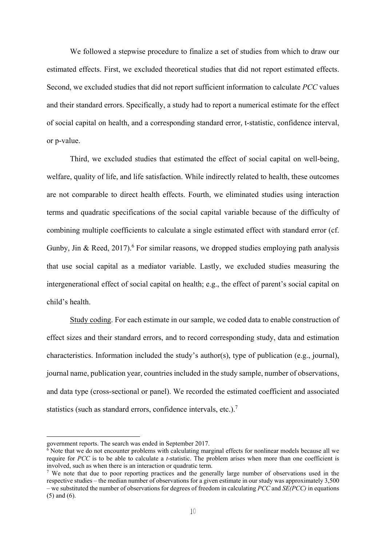We followed a stepwise procedure to finalize a set of studies from which to draw our estimated effects. First, we excluded theoretical studies that did not report estimated effects. Second, we excluded studies that did not report sufficient information to calculate *PCC* values and their standard errors. Specifically, a study had to report a numerical estimate for the effect of social capital on health, and a corresponding standard error, t-statistic, confidence interval, or p-value.

Third, we excluded studies that estimated the effect of social capital on well-being, welfare, quality of life, and life satisfaction. While indirectly related to health, these outcomes are not comparable to direct health effects. Fourth, we eliminated studies using interaction terms and quadratic specifications of the social capital variable because of the difficulty of combining multiple coefficients to calculate a single estimated effect with standard error (cf. Gunby, Jin & Reed, 2017).<sup>6</sup> For similar reasons, we dropped studies employing path analysis that use social capital as a mediator variable. Lastly, we excluded studies measuring the intergenerational effect of social capital on health; e.g., the effect of parent's social capital on child's health.

Study coding. For each estimate in our sample, we coded data to enable construction of effect sizes and their standard errors, and to record corresponding study, data and estimation characteristics. Information included the study's author(s), type of publication (e.g., journal), journal name, publication year, countries included in the study sample, number of observations, and data type (cross-sectional or panel). We recorded the estimated coefficient and associated statistics (such as standard errors, confidence intervals, etc.). $^7$ 

government reports. The search was ended in September 2017.

<sup>&</sup>lt;sup>6</sup> Note that we do not encounter problems with calculating marginal effects for nonlinear models because all we require for *PCC* is to be able to calculate a *t*-statistic. The problem arises when more than one coefficient is involved, such as when there is an interaction or quadratic term.<br><sup>7</sup> We note that due to poor reporting practices and the generally large number of observations used in the

respective studies – the median number of observations for a given estimate in our study was approximately 3,500 – we substituted the number of observations for degrees of freedom in calculating *PCC* and *SE(PCC)* in equations (5) and (6).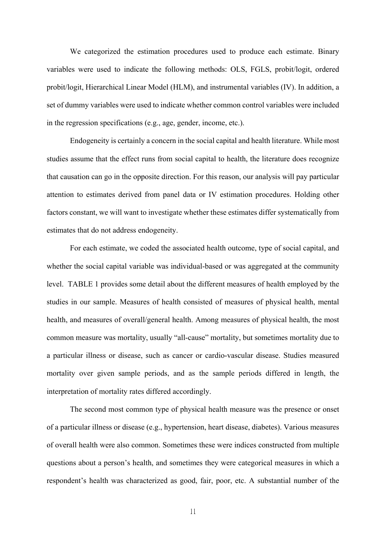We categorized the estimation procedures used to produce each estimate. Binary variables were used to indicate the following methods: OLS, FGLS, probit/logit, ordered probit/logit, Hierarchical Linear Model (HLM), and instrumental variables (IV). In addition, a set of dummy variables were used to indicate whether common control variables were included in the regression specifications (e.g., age, gender, income, etc.).

Endogeneity is certainly a concern in the social capital and health literature. While most studies assume that the effect runs from social capital to health, the literature does recognize that causation can go in the opposite direction. For this reason, our analysis will pay particular attention to estimates derived from panel data or IV estimation procedures. Holding other factors constant, we will want to investigate whether these estimates differ systematically from estimates that do not address endogeneity.

For each estimate, we coded the associated health outcome, type of social capital, and whether the social capital variable was individual-based or was aggregated at the community level. TABLE 1 provides some detail about the different measures of health employed by the studies in our sample. Measures of health consisted of measures of physical health, mental health, and measures of overall/general health. Among measures of physical health, the most common measure was mortality, usually "all-cause" mortality, but sometimes mortality due to a particular illness or disease, such as cancer or cardio-vascular disease. Studies measured mortality over given sample periods, and as the sample periods differed in length, the interpretation of mortality rates differed accordingly.

The second most common type of physical health measure was the presence or onset of a particular illness or disease (e.g., hypertension, heart disease, diabetes). Various measures of overall health were also common. Sometimes these were indices constructed from multiple questions about a person's health, and sometimes they were categorical measures in which a respondent's health was characterized as good, fair, poor, etc. A substantial number of the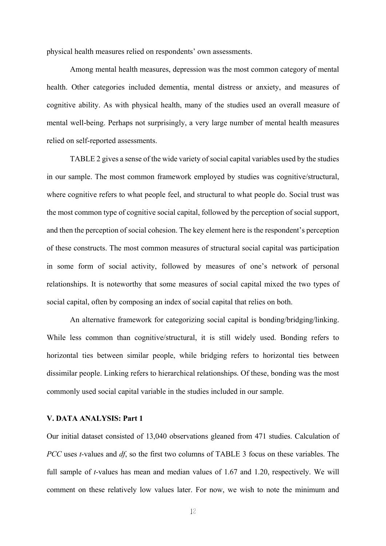physical health measures relied on respondents' own assessments.

Among mental health measures, depression was the most common category of mental health. Other categories included dementia, mental distress or anxiety, and measures of cognitive ability. As with physical health, many of the studies used an overall measure of mental well-being. Perhaps not surprisingly, a very large number of mental health measures relied on self-reported assessments.

TABLE 2 gives a sense of the wide variety of social capital variables used by the studies in our sample. The most common framework employed by studies was cognitive/structural, where cognitive refers to what people feel, and structural to what people do. Social trust was the most common type of cognitive social capital, followed by the perception of social support, and then the perception of social cohesion. The key element here is the respondent's perception of these constructs. The most common measures of structural social capital was participation in some form of social activity, followed by measures of one's network of personal relationships. It is noteworthy that some measures of social capital mixed the two types of social capital, often by composing an index of social capital that relies on both.

An alternative framework for categorizing social capital is bonding/bridging/linking. While less common than cognitive/structural, it is still widely used. Bonding refers to horizontal ties between similar people, while bridging refers to horizontal ties between dissimilar people. Linking refers to hierarchical relationships. Of these, bonding was the most commonly used social capital variable in the studies included in our sample.

#### **V. DATA ANALYSIS: Part 1**

Our initial dataset consisted of 13,040 observations gleaned from 471 studies. Calculation of *PCC* uses *t-*values and *df*, so the first two columns of TABLE 3 focus on these variables. The full sample of *t-*values has mean and median values of 1.67 and 1.20, respectively. We will comment on these relatively low values later. For now, we wish to note the minimum and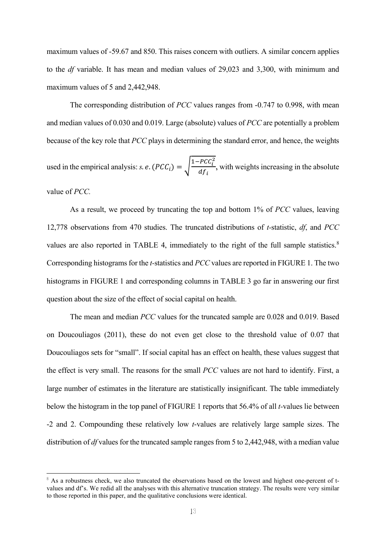maximum values of -59.67 and 850. This raises concern with outliers. A similar concern applies to the *df* variable. It has mean and median values of 29,023 and 3,300, with minimum and maximum values of 5 and 2,442,948.

The corresponding distribution of *PCC* values ranges from -0.747 to 0.998, with mean and median values of 0.030 and 0.019. Large (absolute) values of *PCC* are potentially a problem because of the key role that *PCC* plays in determining the standard error, and hence, the weights used in the empirical analysis: *s. e.*  $(PCC_i) = \sqrt{\frac{1 - PCC_i^2}{dC_i}}$  $rac{i}{df_i}$ , with weights increasing in the absolute value of *PCC.*

As a result, we proceed by truncating the top and bottom 1% of *PCC* values, leaving 12,778 observations from 470 studies. The truncated distributions of *t-*statistic, *df*, and *PCC*  values are also reported in TABLE 4, immediately to the right of the full sample statistics.<sup>8</sup> Corresponding histograms for the *t-*statistics and *PCC* values are reported in FIGURE 1. The two histograms in FIGURE 1 and corresponding columns in TABLE 3 go far in answering our first question about the size of the effect of social capital on health.

The mean and median *PCC* values for the truncated sample are 0.028 and 0.019. Based on Doucouliagos (2011), these do not even get close to the threshold value of 0.07 that Doucouliagos sets for "small". If social capital has an effect on health, these values suggest that the effect is very small. The reasons for the small *PCC* values are not hard to identify. First, a large number of estimates in the literature are statistically insignificant. The table immediately below the histogram in the top panel of FIGURE 1 reports that 56.4% of all *t-*values lie between -2 and 2. Compounding these relatively low *t*-values are relatively large sample sizes. The distribution of *df* values for the truncated sample ranges from 5 to 2,442,948, with a median value

 $\beta$  As a robustness check, we also truncated the observations based on the lowest and highest one-percent of tvalues and df's. We redid all the analyses with this alternative truncation strategy. The results were very similar to those reported in this paper, and the qualitative conclusions were identical.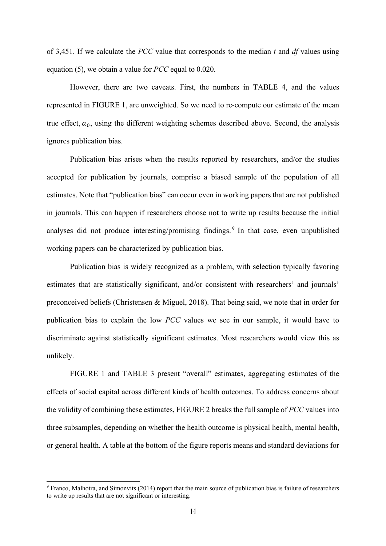of 3,451. If we calculate the *PCC* value that corresponds to the median *t* and *df* values using equation (5), we obtain a value for *PCC* equal to 0.020.

However, there are two caveats. First, the numbers in TABLE 4, and the values represented in FIGURE 1, are unweighted. So we need to re-compute our estimate of the mean true effect,  $\alpha_0$ , using the different weighting schemes described above. Second, the analysis ignores publication bias.

Publication bias arises when the results reported by researchers, and/or the studies accepted for publication by journals, comprise a biased sample of the population of all estimates. Note that "publication bias" can occur even in working papers that are not published in journals. This can happen if researchers choose not to write up results because the initial analyses did not produce interesting/promising findings. 9 In that case, even unpublished working papers can be characterized by publication bias.

Publication bias is widely recognized as a problem, with selection typically favoring estimates that are statistically significant, and/or consistent with researchers' and journals' preconceived beliefs (Christensen & Miguel, 2018). That being said, we note that in order for publication bias to explain the low *PCC* values we see in our sample, it would have to discriminate against statistically significant estimates. Most researchers would view this as unlikely.

FIGURE 1 and TABLE 3 present "overall" estimates, aggregating estimates of the effects of social capital across different kinds of health outcomes. To address concerns about the validity of combining these estimates, FIGURE 2 breaks the full sample of *PCC* values into three subsamples, depending on whether the health outcome is physical health, mental health, or general health. A table at the bottom of the figure reports means and standard deviations for

<sup>&</sup>lt;sup>9</sup> Franco, Malhotra, and Simonvits (2014) report that the main source of publication bias is failure of researchers to write up results that are not significant or interesting.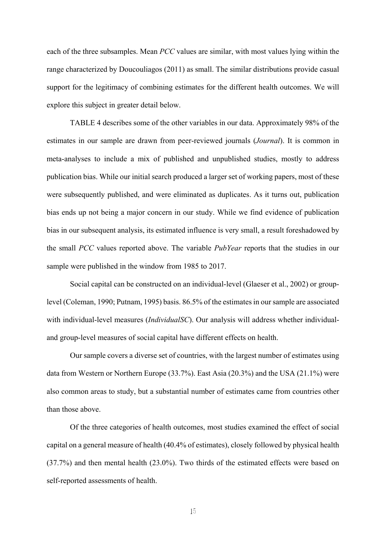each of the three subsamples. Mean *PCC* values are similar, with most values lying within the range characterized by Doucouliagos (2011) as small. The similar distributions provide casual support for the legitimacy of combining estimates for the different health outcomes. We will explore this subject in greater detail below.

TABLE 4 describes some of the other variables in our data. Approximately 98% of the estimates in our sample are drawn from peer-reviewed journals (*Journal*). It is common in meta-analyses to include a mix of published and unpublished studies, mostly to address publication bias. While our initial search produced a larger set of working papers, most of these were subsequently published, and were eliminated as duplicates. As it turns out, publication bias ends up not being a major concern in our study. While we find evidence of publication bias in our subsequent analysis, its estimated influence is very small, a result foreshadowed by the small *PCC* values reported above. The variable *PubYear* reports that the studies in our sample were published in the window from 1985 to 2017.

Social capital can be constructed on an individual-level (Glaeser et al., 2002) or grouplevel (Coleman, 1990; Putnam, 1995) basis. 86.5% of the estimates in our sample are associated with individual-level measures (*IndividualSC*). Our analysis will address whether individualand group-level measures of social capital have different effects on health.

Our sample covers a diverse set of countries, with the largest number of estimates using data from Western or Northern Europe (33.7%). East Asia (20.3%) and the USA (21.1%) were also common areas to study, but a substantial number of estimates came from countries other than those above.

Of the three categories of health outcomes, most studies examined the effect of social capital on a general measure of health (40.4% of estimates), closely followed by physical health (37.7%) and then mental health (23.0%). Two thirds of the estimated effects were based on self-reported assessments of health.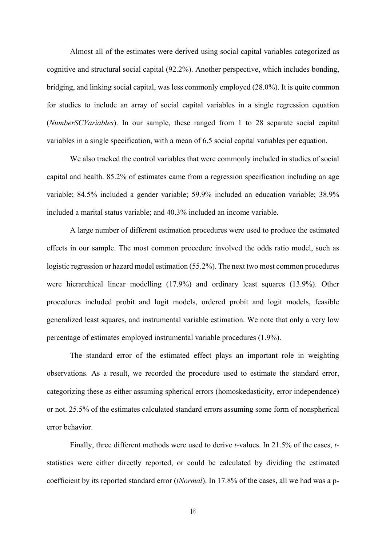Almost all of the estimates were derived using social capital variables categorized as cognitive and structural social capital (92.2%). Another perspective, which includes bonding, bridging, and linking social capital, was less commonly employed (28.0%). It is quite common for studies to include an array of social capital variables in a single regression equation (*NumberSCVariables*). In our sample, these ranged from 1 to 28 separate social capital variables in a single specification, with a mean of 6.5 social capital variables per equation.

We also tracked the control variables that were commonly included in studies of social capital and health. 85.2% of estimates came from a regression specification including an age variable; 84.5% included a gender variable; 59.9% included an education variable; 38.9% included a marital status variable; and 40.3% included an income variable.

A large number of different estimation procedures were used to produce the estimated effects in our sample. The most common procedure involved the odds ratio model, such as logistic regression or hazard model estimation (55.2%). The next two most common procedures were hierarchical linear modelling (17.9%) and ordinary least squares (13.9%). Other procedures included probit and logit models, ordered probit and logit models, feasible generalized least squares, and instrumental variable estimation. We note that only a very low percentage of estimates employed instrumental variable procedures (1.9%).

The standard error of the estimated effect plays an important role in weighting observations. As a result, we recorded the procedure used to estimate the standard error, categorizing these as either assuming spherical errors (homoskedasticity, error independence) or not. 25.5% of the estimates calculated standard errors assuming some form of nonspherical error behavior.

Finally, three different methods were used to derive *t-*values. In 21.5% of the cases, *t*statistics were either directly reported, or could be calculated by dividing the estimated coefficient by its reported standard error (*tNormal*). In 17.8% of the cases, all we had was a p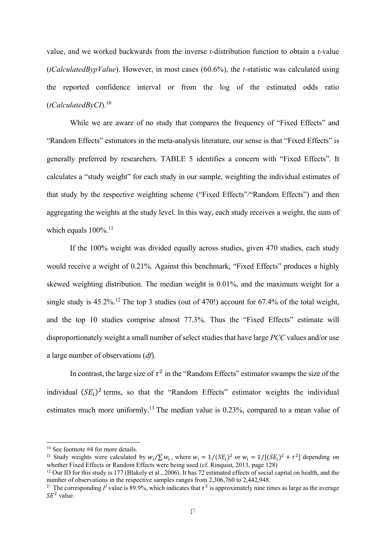value, and we worked backwards from the inverse *t-*distribution function to obtain a *t-*value (*tCalculatedBypValue*). However, in most cases (60.6%), the *t-*statistic was calculated using the reported confidence interval or from the log of the estimated odds ratio (*tCalculatedByCI*).10

While we are aware of no study that compares the frequency of "Fixed Effects" and "Random Effects" estimators in the meta-analysis literature, our sense is that "Fixed Effects" is generally preferred by researchers. TABLE 5 identifies a concern with "Fixed Effects". It calculates a "study weight" for each study in our sample, weighting the individual estimates of that study by the respective weighting scheme ("Fixed Effects"/"Random Effects") and then aggregating the weights at the study level. In this way, each study receives a weight, the sum of which equals  $100\%$ <sup>11</sup>

If the 100% weight was divided equally across studies, given 470 studies, each study would receive a weight of 0.21%. Against this benchmark, "Fixed Effects" produces a highly skewed weighting distribution. The median weight is 0.01%, and the maximum weight for a single study is  $45.2\%$ .<sup>12</sup> The top 3 studies (out of 470!) account for 67.4% of the total weight, and the top 10 studies comprise almost 77.3%. Thus the "Fixed Effects" estimate will disproportionately weight a small number of select studies that have large *PCC* values and/or use a large number of observations (*df*).

In contrast, the large size of  $\tau^2$  in the "Random Effects" estimator swamps the size of the individual  $(SE_i)^2$  terms, so that the "Random Effects" estimator weights the individual estimates much more uniformly.<sup>13</sup> The median value is 0.23%, compared to a mean value of

<sup>&</sup>lt;sup>10</sup> See footnote #4 for more details.

<sup>&</sup>lt;sup>11</sup> Study weights were calculated by  $w_i/\sum w_i$ , where  $w_i = 1/(SE_i)^2$  or  $w_i = 1/[(SE_i)^2 + \tau^2]$  depending on whether Fixed Effects or Random Effects were being used (cf. Rinquist, 2013, page 128)

<sup>&</sup>lt;sup>12</sup> Our ID for this study is 177 (Blakely et al., 2006). It has 72 estimated effects of social capital on health, and the number of observations in the respective samples ranges from 2,306,760 to 2,442,948.

The corresponding  $I^2$  value is 89.9%, which indicates that  $\tau^2$  is approximately nine times as large as the average  $SE<sup>2</sup>$  value.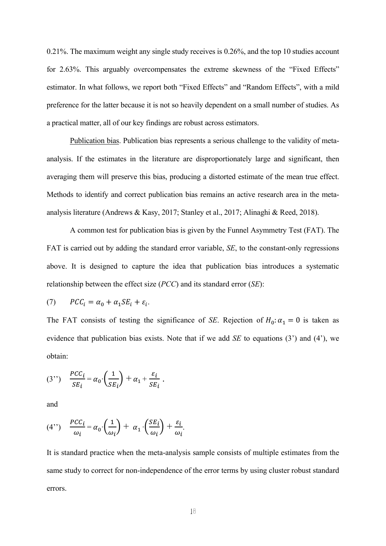0.21%. The maximum weight any single study receives is 0.26%, and the top 10 studies account for 2.63%. This arguably overcompensates the extreme skewness of the "Fixed Effects" estimator. In what follows, we report both "Fixed Effects" and "Random Effects", with a mild preference for the latter because it is not so heavily dependent on a small number of studies. As a practical matter, all of our key findings are robust across estimators.

 Publication bias. Publication bias represents a serious challenge to the validity of metaanalysis. If the estimates in the literature are disproportionately large and significant, then averaging them will preserve this bias, producing a distorted estimate of the mean true effect. Methods to identify and correct publication bias remains an active research area in the metaanalysis literature (Andrews & Kasy, 2017; Stanley et al., 2017; Alinaghi & Reed, 2018).

 A common test for publication bias is given by the Funnel Asymmetry Test (FAT). The FAT is carried out by adding the standard error variable, *SE*, to the constant-only regressions above. It is designed to capture the idea that publication bias introduces a systematic relationship between the effect size (*PCC*) and its standard error (*SE*):

(7) 
$$
PCC_i = \alpha_0 + \alpha_1 SE_i + \varepsilon_i.
$$

The FAT consists of testing the significance of *SE*. Rejection of  $H_0: \alpha_1 = 0$  is taken as evidence that publication bias exists. Note that if we add *SE* to equations (3') and (4'), we obtain:

(3") 
$$
\frac{PCC_i}{SE_i} = \alpha_0 \cdot \left(\frac{1}{SE_i}\right) + \alpha_1 + \frac{\varepsilon_i}{SE_i}.
$$

and

(4") 
$$
\frac{PCC_i}{\omega_i} = \alpha_0 \cdot \left(\frac{1}{\omega_i}\right) + \alpha_1 \cdot \left(\frac{SE_i}{\omega_i}\right) + \frac{\varepsilon_i}{\omega_i}.
$$

It is standard practice when the meta-analysis sample consists of multiple estimates from the same study to correct for non-independence of the error terms by using cluster robust standard errors.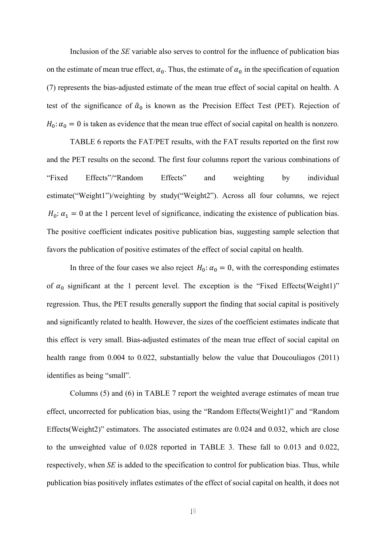Inclusion of the *SE* variable also serves to control for the influence of publication bias on the estimate of mean true effect,  $\alpha_0$ . Thus, the estimate of  $\alpha_0$  in the specification of equation (7) represents the bias-adjusted estimate of the mean true effect of social capital on health. A test of the significance of  $\hat{\alpha}_0$  is known as the Precision Effect Test (PET). Rejection of  $H_0: \alpha_0 = 0$  is taken as evidence that the mean true effect of social capital on health is nonzero.

 TABLE 6 reports the FAT/PET results, with the FAT results reported on the first row and the PET results on the second. The first four columns report the various combinations of "Fixed Effects"/"Random Effects" and weighting by individual estimate("Weight1")/weighting by study("Weight2"). Across all four columns, we reject  $H_0: \alpha_1 = 0$  at the 1 percent level of significance, indicating the existence of publication bias. The positive coefficient indicates positive publication bias, suggesting sample selection that favors the publication of positive estimates of the effect of social capital on health.

In three of the four cases we also reject  $H_0: \alpha_0 = 0$ , with the corresponding estimates of  $\alpha_0$  significant at the 1 percent level. The exception is the "Fixed Effects(Weight1)" regression. Thus, the PET results generally support the finding that social capital is positively and significantly related to health. However, the sizes of the coefficient estimates indicate that this effect is very small. Bias-adjusted estimates of the mean true effect of social capital on health range from 0.004 to 0.022, substantially below the value that Doucouliagos (2011) identifies as being "small".

Columns (5) and (6) in TABLE 7 report the weighted average estimates of mean true effect, uncorrected for publication bias, using the "Random Effects(Weight1)" and "Random Effects(Weight2)" estimators. The associated estimates are 0.024 and 0.032, which are close to the unweighted value of 0.028 reported in TABLE 3. These fall to 0.013 and 0.022, respectively, when *SE* is added to the specification to control for publication bias. Thus, while publication bias positively inflates estimates of the effect of social capital on health, it does not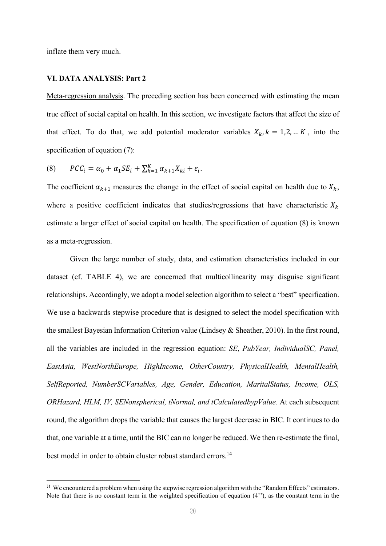inflate them very much.

#### **VI. DATA ANALYSIS: Part 2**

Meta-regression analysis. The preceding section has been concerned with estimating the mean true effect of social capital on health. In this section, we investigate factors that affect the size of that effect. To do that, we add potential moderator variables  $X_k$ ,  $k = 1, 2, ... K$ , into the specification of equation (7):

$$
(8) \qquad PCC_i = \alpha_0 + \alpha_1 SE_i + \sum_{k=1}^{K} \alpha_{k+1} X_{ki} + \varepsilon_i.
$$

The coefficient  $\alpha_{k+1}$  measures the change in the effect of social capital on health due to  $X_k$ , where a positive coefficient indicates that studies/regressions that have characteristic  $X_k$ estimate a larger effect of social capital on health. The specification of equation (8) is known as a meta-regression.

Given the large number of study, data, and estimation characteristics included in our dataset (cf. TABLE 4), we are concerned that multicollinearity may disguise significant relationships. Accordingly, we adopt a model selection algorithm to select a "best" specification. We use a backwards stepwise procedure that is designed to select the model specification with the smallest Bayesian Information Criterion value (Lindsey & Sheather, 2010). In the first round, all the variables are included in the regression equation: *SE*, *PubYear, IndividualSC, Panel, EastAsia, WestNorthEurope, HighIncome, OtherCountry, PhysicalHealth, MentalHealth, SelfReported, NumberSCVariables, Age, Gender, Education, MaritalStatus, Income, OLS, ORHazard, HLM, IV, SENonspherical, tNormal, and tCalculatedbypValue.* At each subsequent round, the algorithm drops the variable that causes the largest decrease in BIC. It continues to do that, one variable at a time, until the BIC can no longer be reduced. We then re-estimate the final, best model in order to obtain cluster robust standard errors.<sup>14</sup>

<sup>&</sup>lt;sup>14</sup> We encountered a problem when using the stepwise regression algorithm with the "Random Effects" estimators. Note that there is no constant term in the weighted specification of equation (4''), as the constant term in the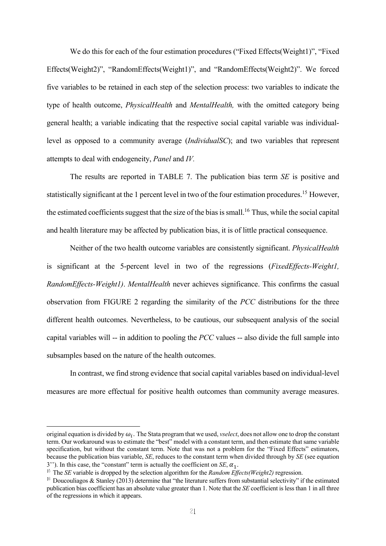We do this for each of the four estimation procedures ("Fixed Effects(Weight1)", "Fixed Effects(Weight2)", "RandomEffects(Weight1)", and "RandomEffects(Weight2)". We forced five variables to be retained in each step of the selection process: two variables to indicate the type of health outcome, *PhysicalHealth* and *MentalHealth,* with the omitted category being general health; a variable indicating that the respective social capital variable was individuallevel as opposed to a community average (*IndividualSC*); and two variables that represent attempts to deal with endogeneity, *Panel* and *IV.* 

The results are reported in TABLE 7. The publication bias term *SE* is positive and statistically significant at the 1 percent level in two of the four estimation procedures.<sup>15</sup> However, the estimated coefficients suggest that the size of the bias is small.<sup>16</sup> Thus, while the social capital and health literature may be affected by publication bias, it is of little practical consequence.

Neither of the two health outcome variables are consistently significant. *PhysicalHealth*  is significant at the 5-percent level in two of the regressions (*FixedEffects-Weight1, RandomEffects-Weight1)*. *MentalHealth* never achieves significance. This confirms the casual observation from FIGURE 2 regarding the similarity of the *PCC* distributions for the three different health outcomes. Nevertheless, to be cautious, our subsequent analysis of the social capital variables will -- in addition to pooling the *PCC* values -- also divide the full sample into subsamples based on the nature of the health outcomes.

In contrast, we find strong evidence that social capital variables based on individual-level measures are more effectual for positive health outcomes than community average measures.

original equation is divided by  $\omega_i$ . The Stata program that we used, *vselect*, does not allow one to drop the constant term. Our workaround was to estimate the "best" model with a constant term, and then estimate that same variable specification, but without the constant term. Note that was not a problem for the "Fixed Effects" estimators, because the publication bias variable, *SE*, reduces to the constant term when divided through by *SE* (see equation 3''). In this case, the "constant" term is actually the coefficient on  $SE$ ,  $\alpha_1$ .

<sup>&</sup>lt;sup>15</sup> The *SE* variable is dropped by the selection algorithm for the *Random Effects(Weight2)* regression.

<sup>&</sup>lt;sup>16</sup> Doucouliagos & Stanley (2013) determine that "the literature suffers from substantial selectivity" if the estimated publication bias coefficient has an absolute value greater than 1. Note that the *SE* coefficient is less than 1 in all three of the regressions in which it appears.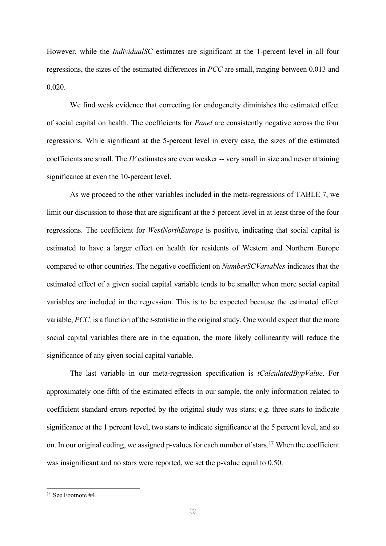However, while the *IndividualSC* estimates are significant at the 1-percent level in all four regressions, the sizes of the estimated differences in *PCC* are small, ranging between 0.013 and 0.020.

We find weak evidence that correcting for endogeneity diminishes the estimated effect of social capital on health. The coefficients for *Panel* are consistently negative across the four regressions. While significant at the 5-percent level in every case, the sizes of the estimated coefficients are small. The *IV* estimates are even weaker -- very small in size and never attaining significance at even the 10-percent level.

As we proceed to the other variables included in the meta-regressions of TABLE 7, we limit our discussion to those that are significant at the 5 percent level in at least three of the four regressions. The coefficient for *WestNorthEurope* is positive, indicating that social capital is estimated to have a larger effect on health for residents of Western and Northern Europe compared to other countries. The negative coefficient on *NumberSCVariables* indicates that the estimated effect of a given social capital variable tends to be smaller when more social capital variables are included in the regression. This is to be expected because the estimated effect variable, *PCC,* is a function of the *t-*statistic in the original study. One would expect that the more social capital variables there are in the equation, the more likely collinearity will reduce the significance of any given social capital variable.

The last variable in our meta-regression specification is *tCalculatedBypValue*. For approximately one-fifth of the estimated effects in our sample, the only information related to coefficient standard errors reported by the original study was stars; e.g. three stars to indicate significance at the 1 percent level, two stars to indicate significance at the 5 percent level, and so on. In our original coding, we assigned p-values for each number of stars.<sup>17</sup> When the coefficient was insignificant and no stars were reported, we set the p-value equal to 0.50.

 $17$  See Footnote  $#4$ .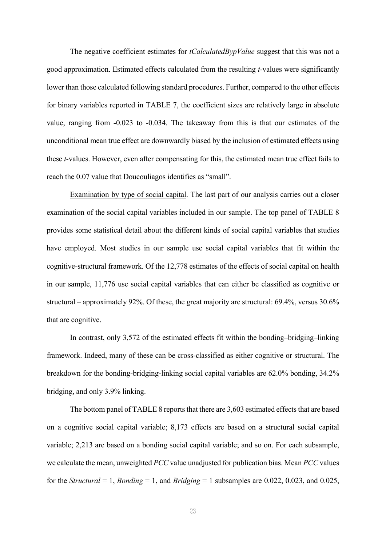The negative coefficient estimates for *tCalculatedBypValue* suggest that this was not a good approximation. Estimated effects calculated from the resulting *t-*values were significantly lower than those calculated following standard procedures. Further, compared to the other effects for binary variables reported in TABLE 7, the coefficient sizes are relatively large in absolute value, ranging from -0.023 to -0.034. The takeaway from this is that our estimates of the unconditional mean true effect are downwardly biased by the inclusion of estimated effects using these *t-*values. However, even after compensating for this, the estimated mean true effect fails to reach the 0.07 value that Doucouliagos identifies as "small".

 Examination by type of social capital. The last part of our analysis carries out a closer examination of the social capital variables included in our sample. The top panel of TABLE 8 provides some statistical detail about the different kinds of social capital variables that studies have employed. Most studies in our sample use social capital variables that fit within the cognitive-structural framework. Of the 12,778 estimates of the effects of social capital on health in our sample, 11,776 use social capital variables that can either be classified as cognitive or structural – approximately 92%. Of these, the great majority are structural: 69.4%, versus 30.6% that are cognitive.

In contrast, only 3,572 of the estimated effects fit within the bonding–bridging–linking framework. Indeed, many of these can be cross-classified as either cognitive or structural. The breakdown for the bonding-bridging-linking social capital variables are 62.0% bonding, 34.2% bridging, and only 3.9% linking.

The bottom panel of TABLE 8 reports that there are 3,603 estimated effects that are based on a cognitive social capital variable; 8,173 effects are based on a structural social capital variable; 2,213 are based on a bonding social capital variable; and so on. For each subsample, we calculate the mean, unweighted *PCC* value unadjusted for publication bias. Mean *PCC* values for the *Structural* = 1, *Bonding* = 1, and *Bridging* = 1 subsamples are 0.022, 0.023, and 0.025,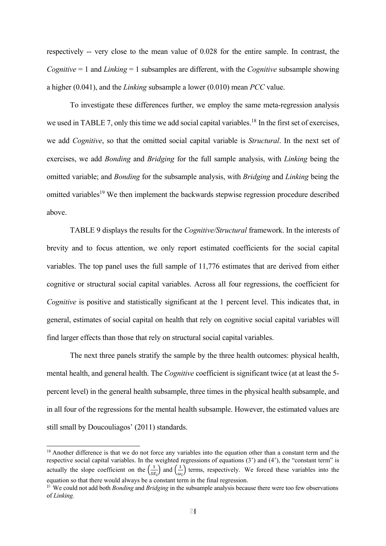respectively -- very close to the mean value of 0.028 for the entire sample. In contrast, the *Cognitive* = 1 and *Linking* = 1 subsamples are different, with the *Cognitive* subsample showing a higher (0.041), and the *Linking* subsample a lower (0.010) mean *PCC* value.

To investigate these differences further, we employ the same meta-regression analysis we used in TABLE 7, only this time we add social capital variables.<sup>18</sup> In the first set of exercises, we add *Cognitive*, so that the omitted social capital variable is *Structural*. In the next set of exercises, we add *Bonding* and *Bridging* for the full sample analysis, with *Linking* being the omitted variable; and *Bonding* for the subsample analysis, with *Bridging* and *Linking* being the omitted variables<sup>19</sup> We then implement the backwards stepwise regression procedure described above.

TABLE 9 displays the results for the *Cognitive/Structural* framework. In the interests of brevity and to focus attention, we only report estimated coefficients for the social capital variables. The top panel uses the full sample of 11,776 estimates that are derived from either cognitive or structural social capital variables. Across all four regressions, the coefficient for *Cognitive* is positive and statistically significant at the 1 percent level. This indicates that, in general, estimates of social capital on health that rely on cognitive social capital variables will find larger effects than those that rely on structural social capital variables.

The next three panels stratify the sample by the three health outcomes: physical health, mental health, and general health. The *Cognitive* coefficient is significant twice (at at least the 5 percent level) in the general health subsample, three times in the physical health subsample, and in all four of the regressions for the mental health subsample. However, the estimated values are still small by Doucouliagos' (2011) standards.

<sup>&</sup>lt;sup>18</sup> Another difference is that we do not force any variables into the equation other than a constant term and the respective social capital variables. In the weighted regressions of equations (3') and (4'), the "constant term" is actually the slope coefficient on the  $\left(\frac{1}{SE_i}\right)$  and  $\left(\frac{1}{\omega_i}\right)$  terms, respectively. We forced these variables into the equation so that there would always be a constant term in the final regression.

<sup>&</sup>lt;sup>19</sup> We could not add both *Bonding* and *Bridging* in the subsample analysis because there were too few observations of *Linking.*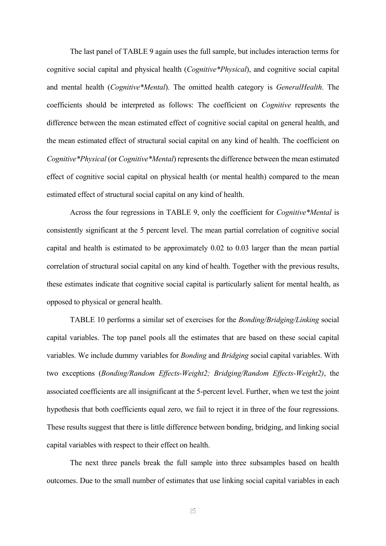The last panel of TABLE 9 again uses the full sample, but includes interaction terms for cognitive social capital and physical health (*Cognitive\*Physical*), and cognitive social capital and mental health (*Cognitive\*Mental*). The omitted health category is *GeneralHealth*. The coefficients should be interpreted as follows: The coefficient on *Cognitive* represents the difference between the mean estimated effect of cognitive social capital on general health, and the mean estimated effect of structural social capital on any kind of health. The coefficient on *Cognitive\*Physical* (or *Cognitive\*Mental*) represents the difference between the mean estimated effect of cognitive social capital on physical health (or mental health) compared to the mean estimated effect of structural social capital on any kind of health.

Across the four regressions in TABLE 9, only the coefficient for *Cognitive\*Mental* is consistently significant at the 5 percent level. The mean partial correlation of cognitive social capital and health is estimated to be approximately 0.02 to 0.03 larger than the mean partial correlation of structural social capital on any kind of health. Together with the previous results, these estimates indicate that cognitive social capital is particularly salient for mental health, as opposed to physical or general health.

TABLE 10 performs a similar set of exercises for the *Bonding/Bridging/Linking* social capital variables. The top panel pools all the estimates that are based on these social capital variables. We include dummy variables for *Bonding* and *Bridging* social capital variables. With two exceptions (*Bonding/Random Effects-Weight2; Bridging/Random Effects-Weight2)*, the associated coefficients are all insignificant at the 5-percent level. Further, when we test the joint hypothesis that both coefficients equal zero, we fail to reject it in three of the four regressions. These results suggest that there is little difference between bonding, bridging, and linking social capital variables with respect to their effect on health.

The next three panels break the full sample into three subsamples based on health outcomes. Due to the small number of estimates that use linking social capital variables in each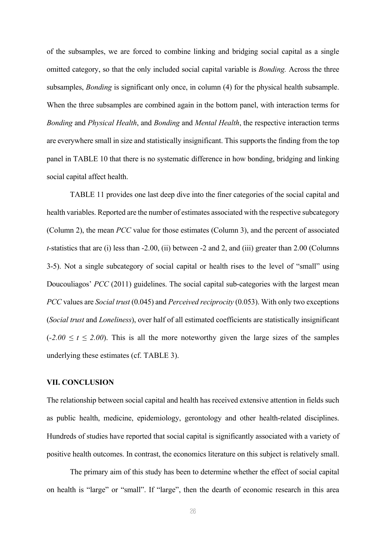of the subsamples, we are forced to combine linking and bridging social capital as a single omitted category, so that the only included social capital variable is *Bonding.* Across the three subsamples, *Bonding* is significant only once, in column (4) for the physical health subsample. When the three subsamples are combined again in the bottom panel, with interaction terms for *Bonding* and *Physical Health*, and *Bonding* and *Mental Health*, the respective interaction terms are everywhere small in size and statistically insignificant. This supports the finding from the top panel in TABLE 10 that there is no systematic difference in how bonding, bridging and linking social capital affect health.

TABLE 11 provides one last deep dive into the finer categories of the social capital and health variables. Reported are the number of estimates associated with the respective subcategory (Column 2), the mean *PCC* value for those estimates (Column 3), and the percent of associated *t-*statistics that are (i) less than -2.00, (ii) between -2 and 2, and (iii) greater than 2.00 (Columns 3-5). Not a single subcategory of social capital or health rises to the level of "small" using Doucouliagos' *PCC* (2011) guidelines. The social capital sub-categories with the largest mean *PCC* values are *Social trust* (0.045) and *Perceived reciprocity* (0.053). With only two exceptions (*Social trust* and *Loneliness*), over half of all estimated coefficients are statistically insignificant  $(-2.00 \le t \le 2.00)$ . This is all the more noteworthy given the large sizes of the samples underlying these estimates (cf. TABLE 3).

#### **VII. CONCLUSION**

The relationship between social capital and health has received extensive attention in fields such as public health, medicine, epidemiology, gerontology and other health-related disciplines. Hundreds of studies have reported that social capital is significantly associated with a variety of positive health outcomes. In contrast, the economics literature on this subject is relatively small.

 The primary aim of this study has been to determine whether the effect of social capital on health is "large" or "small". If "large", then the dearth of economic research in this area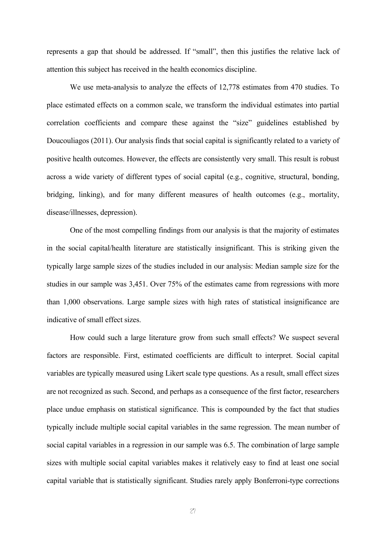represents a gap that should be addressed. If "small", then this justifies the relative lack of attention this subject has received in the health economics discipline.

 We use meta-analysis to analyze the effects of 12,778 estimates from 470 studies. To place estimated effects on a common scale, we transform the individual estimates into partial correlation coefficients and compare these against the "size" guidelines established by Doucouliagos (2011). Our analysis finds that social capital is significantly related to a variety of positive health outcomes. However, the effects are consistently very small. This result is robust across a wide variety of different types of social capital (e.g., cognitive, structural, bonding, bridging, linking), and for many different measures of health outcomes (e.g., mortality, disease/illnesses, depression).

 One of the most compelling findings from our analysis is that the majority of estimates in the social capital/health literature are statistically insignificant. This is striking given the typically large sample sizes of the studies included in our analysis: Median sample size for the studies in our sample was 3,451. Over 75% of the estimates came from regressions with more than 1,000 observations. Large sample sizes with high rates of statistical insignificance are indicative of small effect sizes.

 How could such a large literature grow from such small effects? We suspect several factors are responsible. First, estimated coefficients are difficult to interpret. Social capital variables are typically measured using Likert scale type questions. As a result, small effect sizes are not recognized as such. Second, and perhaps as a consequence of the first factor, researchers place undue emphasis on statistical significance. This is compounded by the fact that studies typically include multiple social capital variables in the same regression. The mean number of social capital variables in a regression in our sample was 6.5. The combination of large sample sizes with multiple social capital variables makes it relatively easy to find at least one social capital variable that is statistically significant. Studies rarely apply Bonferroni-type corrections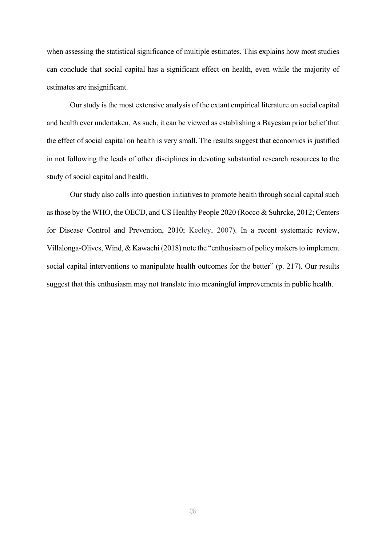when assessing the statistical significance of multiple estimates. This explains how most studies can conclude that social capital has a significant effect on health, even while the majority of estimates are insignificant.

 Our study is the most extensive analysis of the extant empirical literature on social capital and health ever undertaken. As such, it can be viewed as establishing a Bayesian prior belief that the effect of social capital on health is very small. The results suggest that economics is justified in not following the leads of other disciplines in devoting substantial research resources to the study of social capital and health.

 Our study also calls into question initiatives to promote health through social capital such as those by the WHO, the OECD, and US Healthy People 2020 (Rocco & Suhrcke, 2012; Centers for Disease Control and Prevention, 2010; Keeley, 2007). In a recent systematic review, Villalonga-Olives, Wind, & Kawachi (2018) note the "enthusiasm of policy makers to implement social capital interventions to manipulate health outcomes for the better" (p. 217). Our results suggest that this enthusiasm may not translate into meaningful improvements in public health.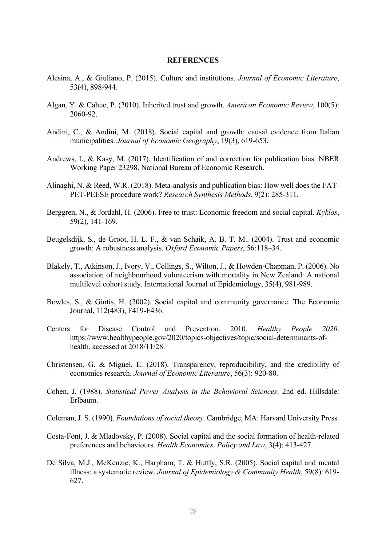#### **REFERENCES**

- Alesina, A., & Giuliano, P. (2015). Culture and institutions. *Journal of Economic Literature*, 53(4), 898-944.
- Algan, Y. & Cahuc, P. (2010). Inherited trust and growth. *American Economic Review*, 100(5): 2060-92.
- Andini, C., & Andini, M. (2018). Social capital and growth: causal evidence from Italian municipalities. *Journal of Economic Geography*, 19(3), 619-653.
- Andrews, I., & Kasy, M. (2017). Identification of and correction for publication bias. NBER Working Paper 23298. National Bureau of Economic Research.
- Alinaghi, N. & Reed, W.R. (2018). Meta-analysis and publication bias: How well does the FAT-PET-PEESE procedure work? *Research Synthesis Methods*, 9(2): 285-311.
- Berggren, N., & Jordahl, H. (2006). Free to trust: Economic freedom and social capital. *Kyklos*, 59(2), 141-169.
- Beugelsdijk, S., de Groot, H. L. F., & van Schaik, A. B. T. M.. (2004). Trust and economic growth: A robustness analysis. *Oxford Economic Papers*, 56:118–34.
- Blakely, T., Atkinson, J., Ivory, V., Collings, S., Wilton, J., & Howden-Chapman, P. (2006). No association of neighbourhood volunteerism with mortality in New Zealand: A national multilevel cohort study. International Journal of Epidemiology, 35(4), 981-989.
- Bowles, S., & Gintis, H. (2002). Social capital and community governance. The Economic Journal, 112(483), F419-F436.
- Centers for Disease Control and Prevention, 2010. *Healthy People 2020*. https://www.healthypeople.gov/2020/topics-objectives/topic/social-determinants-ofhealth. accessed at 2018/11/28.
- Christensen, G. & Miguel, E. (2018). Transparency, reproducibility, and the credibility of economics research. *Journal of Economic Literature*, 56(3): 920-80.
- Cohen, J. (1988). *Statistical Power Analysis in the Behavioral Sciences*. 2nd ed. Hillsdale: Erlbaum.
- Coleman, J. S. (1990). *Foundations of social theory*. Cambridge, MA: Harvard University Press.
- Costa-Font, J. & Mladovsky, P. (2008). Social capital and the social formation of health-related preferences and behaviours. *Health Economics, Policy and Law*, 3(4): 413-427.
- De Silva, M.J., McKenzie, K., Harpham, T. & Huttly, S.R. (2005). Social capital and mental illness: a systematic review. *Journal of Epidemiology & Community Health*, 59(8): 619- 627.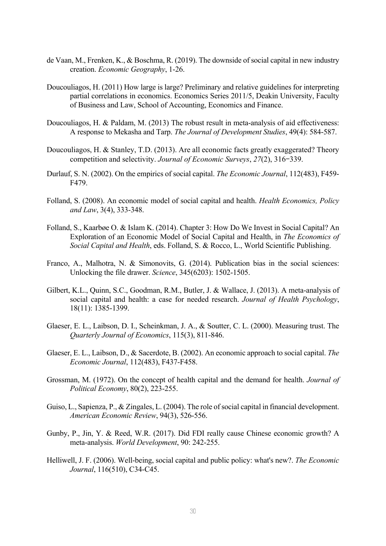- de Vaan, M., Frenken, K., & Boschma, R. (2019). The downside of social capital in new industry creation. *Economic Geography*, 1-26.
- Doucouliagos, H. (2011) How large is large? Preliminary and relative guidelines for interpreting partial correlations in economics. Economics Series 2011/5, Deakin University, Faculty of Business and Law, School of Accounting, Economics and Finance.
- Doucouliagos, H. & Paldam, M. (2013) The robust result in meta-analysis of aid effectiveness: A response to Mekasha and Tarp. *The Journal of Development Studies*, 49(4): 584-587.
- Doucouliagos, H. & Stanley, T.D. (2013). Are all economic facts greatly exaggerated? Theory competition and selectivity. *Journal of Economic Surveys*, *27*(2), 316–339.
- Durlauf, S. N. (2002). On the empirics of social capital. *The Economic Journal*, 112(483), F459- F479.
- Folland, S. (2008). An economic model of social capital and health. *Health Economics, Policy and Law*, 3(4), 333-348.
- Folland, S., Kaarbøe O. & Islam K. (2014). Chapter 3: How Do We Invest in Social Capital? An Exploration of an Economic Model of Social Capital and Health, in *The Economics of Social Capital and Health*, eds. Folland, S. & Rocco, L., World Scientific Publishing.
- Franco, A., Malhotra, N. & Simonovits, G. (2014). Publication bias in the social sciences: Unlocking the file drawer. *Science*, 345(6203): 1502-1505.
- Gilbert, K.L., Quinn, S.C., Goodman, R.M., Butler, J. & Wallace, J. (2013). A meta-analysis of social capital and health: a case for needed research. *Journal of Health Psychology*, 18(11): 1385-1399.
- Glaeser, E. L., Laibson, D. I., Scheinkman, J. A., & Soutter, C. L. (2000). Measuring trust. The *Quarterly Journal of Economics*, 115(3), 811-846.
- Glaeser, E. L., Laibson, D., & Sacerdote, B. (2002). An economic approach to social capital. *The Economic Journal*, 112(483), F437-F458.
- Grossman, M. (1972). On the concept of health capital and the demand for health. *Journal of Political Economy*, 80(2), 223-255.
- Guiso, L., Sapienza, P., & Zingales, L. (2004). The role of social capital in financial development. *American Economic Review*, 94(3), 526-556.
- Gunby, P., Jin, Y. & Reed, W.R. (2017). Did FDI really cause Chinese economic growth? A meta-analysis. *World Development*, 90: 242-255.
- Helliwell, J. F. (2006). Well‐being, social capital and public policy: what's new?. *The Economic Journal*, 116(510), C34-C45.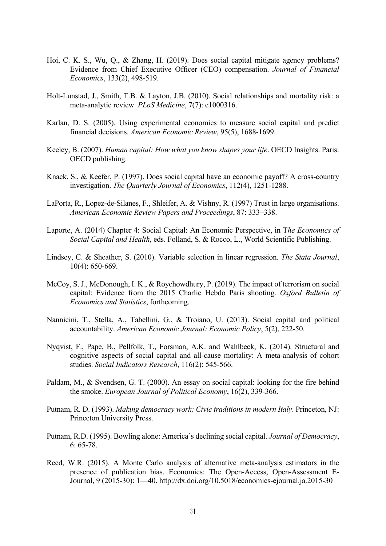- Hoi, C. K. S., Wu, Q., & Zhang, H. (2019). Does social capital mitigate agency problems? Evidence from Chief Executive Officer (CEO) compensation. *Journal of Financial Economics*, 133(2), 498-519.
- Holt-Lunstad, J., Smith, T.B. & Layton, J.B. (2010). Social relationships and mortality risk: a meta-analytic review. *PLoS Medicine*, 7(7): e1000316.
- Karlan, D. S. (2005). Using experimental economics to measure social capital and predict financial decisions. *American Economic Review*, 95(5), 1688-1699.
- Keeley, B. (2007). *Human capital: How what you know shapes your life*. OECD Insights. Paris: OECD publishing.
- Knack, S., & Keefer, P. (1997). Does social capital have an economic payoff? A cross-country investigation. *The Quarterly Journal of Economics*, 112(4), 1251-1288.
- LaPorta, R., Lopez-de-Silanes, F., Shleifer, A. & Vishny, R. (1997) Trust in large organisations. *American Economic Review Papers and Proceedings*, 87: 333–338.
- Laporte, A. (2014) Chapter 4: Social Capital: An Economic Perspective, in T*he Economics of Social Capital and Health*, eds. Folland, S. & Rocco, L., World Scientific Publishing.
- Lindsey, C. & Sheather, S. (2010). Variable selection in linear regression. *The Stata Journal*, 10(4): 650-669.
- McCoy, S. J., McDonough, I. K., & Roychowdhury, P. (2019). The impact of terrorism on social capital: Evidence from the 2015 Charlie Hebdo Paris shooting. *Oxford Bulletin of Economics and Statistics*, forthcoming.
- Nannicini, T., Stella, A., Tabellini, G., & Troiano, U. (2013). Social capital and political accountability. *American Economic Journal: Economic Policy*, 5(2), 222-50.
- Nyqvist, F., Pape, B., Pellfolk, T., Forsman, A.K. and Wahlbeck, K. (2014). Structural and cognitive aspects of social capital and all-cause mortality: A meta-analysis of cohort studies. *Social Indicators Research*, 116(2): 545-566.
- Paldam, M., & Svendsen, G. T. (2000). An essay on social capital: looking for the fire behind the smoke. *European Journal of Political Economy*, 16(2), 339-366.
- Putnam, R. D. (1993). *Making democracy work: Civic traditions in modern Italy*. Princeton, NJ: Princeton University Press.
- Putnam, R.D. (1995). Bowling alone: America's declining social capital. *Journal of Democracy*, 6: 65-78.
- Reed, W.R. (2015). A Monte Carlo analysis of alternative meta-analysis estimators in the presence of publication bias. Economics: The Open-Access, Open-Assessment E-Journal, 9 (2015-30): 1—40. http://dx.doi.org/10.5018/economics-ejournal.ja.2015-30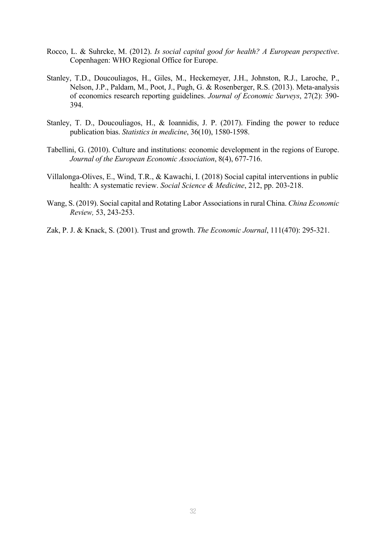- Rocco, L. & Suhrcke, M. (2012). *Is social capital good for health? A European perspective*. Copenhagen: WHO Regional Office for Europe.
- Stanley, T.D., Doucouliagos, H., Giles, M., Heckemeyer, J.H., Johnston, R.J., Laroche, P., Nelson, J.P., Paldam, M., Poot, J., Pugh, G. & Rosenberger, R.S. (2013). Meta‐analysis of economics research reporting guidelines. *Journal of Economic Surveys*, 27(2): 390- 394.
- Stanley, T. D., Doucouliagos, H., & Ioannidis, J. P. (2017). Finding the power to reduce publication bias. *Statistics in medicine*, 36(10), 1580-1598.
- Tabellini, G. (2010). Culture and institutions: economic development in the regions of Europe. *Journal of the European Economic Association*, 8(4), 677-716.
- Villalonga-Olives, E., Wind, T.R., & Kawachi, I. (2018) Social capital interventions in public health: A systematic review. *Social Science & Medicine*, 212, pp. 203-218.
- Wang, S. (2019). Social capital and Rotating Labor Associations in rural China. *China Economic Review,* 53, 243-253.
- Zak, P. J. & Knack, S. (2001). Trust and growth. *The Economic Journal*, 111(470): 295-321.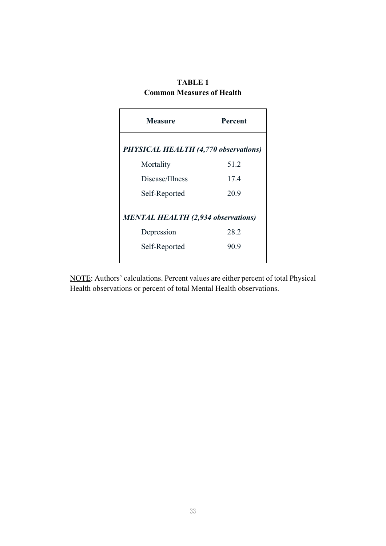# **TABLE 1**

| <b>Common Measures of Health</b> |  |
|----------------------------------|--|
|                                  |  |

 $\Gamma$ 

| Measure                                                                  | Percent      |
|--------------------------------------------------------------------------|--------------|
| <b>PHYSICAL HEALTH (4,770 observations)</b>                              |              |
| Mortality                                                                | 51.2         |
| Disease/Illness                                                          | 17.4         |
| Self-Reported                                                            | 20.9         |
| <b>MENTAL HEALTH (2,934 observations)</b><br>Depression<br>Self-Reported | 28.2<br>90.9 |

NOTE: Authors' calculations. Percent values are either percent of total Physical Health observations or percent of total Mental Health observations.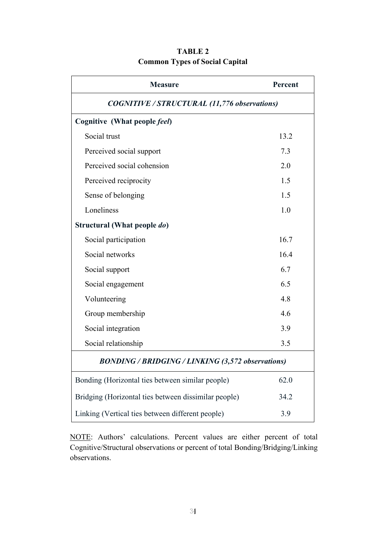| <b>Measure</b>                                           | Percent |  |  |  |  |  |
|----------------------------------------------------------|---------|--|--|--|--|--|
| <b>COGNITIVE / STRUCTURAL (11,776 observations)</b>      |         |  |  |  |  |  |
| Cognitive (What people feel)                             |         |  |  |  |  |  |
| Social trust                                             | 13.2    |  |  |  |  |  |
| Perceived social support                                 | 7.3     |  |  |  |  |  |
| Perceived social cohension                               | 2.0     |  |  |  |  |  |
| Perceived reciprocity                                    | 1.5     |  |  |  |  |  |
| Sense of belonging                                       | 1.5     |  |  |  |  |  |
| Loneliness                                               | 1.0     |  |  |  |  |  |
| Structural (What people do)                              |         |  |  |  |  |  |
| Social participation                                     | 16.7    |  |  |  |  |  |
| Social networks                                          | 16.4    |  |  |  |  |  |
| Social support                                           | 6.7     |  |  |  |  |  |
| Social engagement                                        | 6.5     |  |  |  |  |  |
| Volunteering                                             | 4.8     |  |  |  |  |  |
| Group membership                                         | 4.6     |  |  |  |  |  |
| Social integration                                       | 3.9     |  |  |  |  |  |
| Social relationship                                      | 3.5     |  |  |  |  |  |
| <b>BONDING / BRIDGING / LINKING (3,572 observations)</b> |         |  |  |  |  |  |
| Bonding (Horizontal ties between similar people)         | 62.0    |  |  |  |  |  |
| Bridging (Horizontal ties between dissimilar people)     | 34.2    |  |  |  |  |  |
| Linking (Vertical ties between different people)         | 3.9     |  |  |  |  |  |

# **TABLE 2 Common Types of Social Capital**

NOTE: Authors' calculations. Percent values are either percent of total Cognitive/Structural observations or percent of total Bonding/Bridging/Linking observations.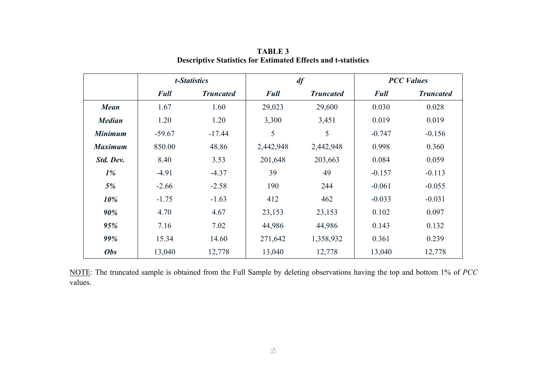|                |             | t-Statistics     | df          |                  | <b>PCC Values</b> |                  |
|----------------|-------------|------------------|-------------|------------------|-------------------|------------------|
|                | <b>Full</b> | <b>Truncated</b> | <b>Full</b> | <b>Truncated</b> | <b>Full</b>       | <b>Truncated</b> |
| <b>Mean</b>    | 1.67        | 1.60             | 29,023      | 29,600           | 0.030             | 0.028            |
| <b>Median</b>  | 1.20        | 1.20             | 3,300       | 3,451            | 0.019             | 0.019            |
| <b>Minimum</b> | $-59.67$    | $-17.44$         | 5           | 5                | $-0.747$          | $-0.156$         |
| <b>Maximum</b> | 850.00      | 48.86            | 2,442,948   | 2,442,948        | 0.998             | 0.360            |
| Std. Dev.      | 8.40        | 3.53             | 201,648     | 203,663          | 0.084             | 0.059            |
| $1\%$          | $-4.91$     | $-4.37$          | 39          | 49               | $-0.157$          | $-0.113$         |
| 5%             | $-2.66$     | $-2.58$          | 190         | 244              | $-0.061$          | $-0.055$         |
| 10%            | $-1.75$     | $-1.63$          | 412         | 462              | $-0.033$          | $-0.031$         |
| 90%            | 4.70        | 4.67             | 23,153      | 23,153           | 0.102             | 0.097            |
| 95%            | 7.16        | 7.02             | 44,986      | 44,986           | 0.143             | 0.132            |
| 99%            | 15.34       | 14.60            | 271,642     | 1,358,932        | 0.361             | 0.239            |
| <b>Obs</b>     | 13,040      | 12,778           | 13,040      | 12,778           | 13,040            | 12,778           |

**TABLE 3 Descriptive Statistics for Estimated Effects and t-statistics** 

NOTE: The truncated sample is obtained from the Full Sample by deleting observations having the top and bottom 1% of *PCC*  values.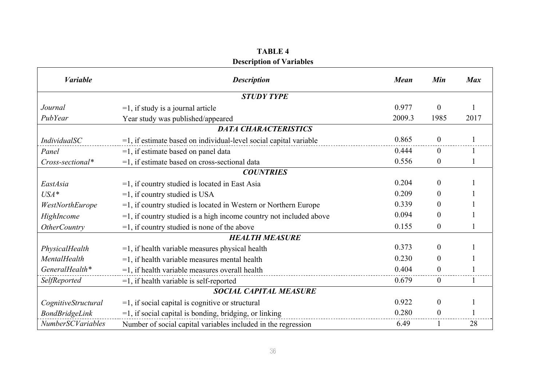#### **TABLE 4 Description of Variables**

 $\mathbf{r}$ 

| <b><i>Variable</i></b>        | <b>Description</b>                                                    | <b>Mean</b> | Min            | <b>Max</b> |  |  |
|-------------------------------|-----------------------------------------------------------------------|-------------|----------------|------------|--|--|
|                               | <b>STUDY TYPE</b>                                                     |             |                |            |  |  |
| Journal                       | $=1$ , if study is a journal article                                  | 0.977       | $\overline{0}$ |            |  |  |
| PubYear                       | Year study was published/appeared                                     | 2009.3      | 1985           | 2017       |  |  |
|                               | <b>DATA CHARACTERISTICS</b>                                           |             |                |            |  |  |
| IndividualSC                  | $=$ 1, if estimate based on individual-level social capital variable  | 0.865       | $\overline{0}$ |            |  |  |
| Panel                         | $=$ 1, if estimate based on panel data                                | 0.444       | $\theta$       |            |  |  |
| Cross-sectional*              | =1, if estimate based on cross-sectional data                         | 0.556       | $\overline{0}$ |            |  |  |
|                               | <b>COUNTRIES</b>                                                      |             |                |            |  |  |
| EastAsia                      | $=1$ , if country studied is located in East Asia                     | 0.204       | $\theta$       |            |  |  |
| $USA*$                        | $=1$ , if country studied is USA                                      | 0.209       | $\theta$       |            |  |  |
| WestNorthEurope               | $=1$ , if country studied is located in Western or Northern Europe    | 0.339       | $\theta$       |            |  |  |
| HighIncome                    | $=$ 1, if country studied is a high income country not included above | 0.094       | $\Omega$       |            |  |  |
| <b>OtherCountry</b>           | $=$ 1, if country studied is none of the above                        | 0.155       | $\overline{0}$ |            |  |  |
|                               | <b>HEALTH MEASURE</b>                                                 |             |                |            |  |  |
| PhysicalHealth                | $=$ 1, if health variable measures physical health                    | 0.373       | $\theta$       |            |  |  |
| MentalHealth                  | $=$ 1, if health variable measures mental health                      | 0.230       | $\theta$       |            |  |  |
| GeneralHealth*                | $=1$ , if health variable measures overall health                     | 0.404       | 0              |            |  |  |
| SelfReported                  | $=1$ , if health variable is self-reported                            | 0.679       | $\overline{0}$ |            |  |  |
| <b>SOCIAL CAPITAL MEASURE</b> |                                                                       |             |                |            |  |  |
| CognitiveStructural           | $=1$ , if social capital is cognitive or structural                   | 0.922       | $\overline{0}$ |            |  |  |
| BondBridgeLink                | $=1$ , if social capital is bonding, bridging, or linking             | 0.280       | $\theta$       |            |  |  |
| <b>NumberSCVariables</b>      | Number of social capital variables included in the regression         | 6.49        |                | 28         |  |  |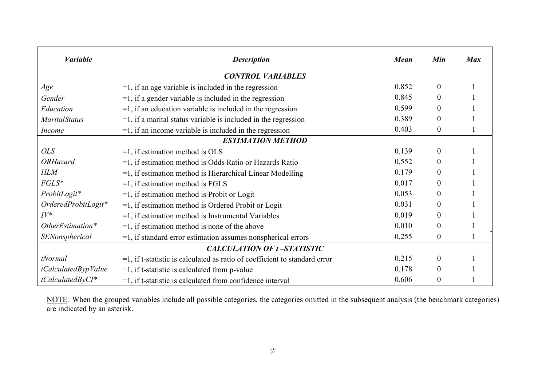| <b><i>Variable</i></b> | <b>Description</b>                                                            | <b>Mean</b> | Min            | <b>Max</b> |  |  |  |
|------------------------|-------------------------------------------------------------------------------|-------------|----------------|------------|--|--|--|
|                        | <b>CONTROL VARIABLES</b>                                                      |             |                |            |  |  |  |
| Age                    | $=$ 1, if an age variable is included in the regression                       | 0.852       | $\theta$       |            |  |  |  |
| Gender                 | $=$ 1, if a gender variable is included in the regression                     | 0.845       | $\Omega$       |            |  |  |  |
| Education              | $=$ 1, if an education variable is included in the regression                 | 0.599       | $\Omega$       |            |  |  |  |
| <b>MaritalStatus</b>   | $=$ 1, if a marital status variable is included in the regression             | 0.389       | $\theta$       |            |  |  |  |
| <i>Income</i>          | $=$ 1, if an income variable is included in the regression                    | 0.403       | $\theta$       |            |  |  |  |
|                        | <b>ESTIMATION METHOD</b>                                                      |             |                |            |  |  |  |
| <i>OLS</i>             | $=1$ , if estimation method is OLS                                            | 0.139       | $\theta$       |            |  |  |  |
| <b>ORHazard</b>        | $=1$ , if estimation method is Odds Ratio or Hazards Ratio                    | 0.552       | $\theta$       |            |  |  |  |
| <b>HLM</b>             | $=$ 1, if estimation method is Hierarchical Linear Modelling                  | 0.179       | $\Omega$       |            |  |  |  |
| $FGLS*$                | $=1$ , if estimation method is FGLS                                           | 0.017       | $\Omega$       |            |  |  |  |
| ProbitLogit*           | $=1$ , if estimation method is Probit or Logit                                | 0.053       | $\Omega$       |            |  |  |  |
| OrderedProbitLogit*    | $=1$ , if estimation method is Ordered Probit or Logit                        | 0.031       | $\Omega$       |            |  |  |  |
| $IV^*$                 | $=$ 1, if estimation method is Instrumental Variables                         | 0.019       | $\Omega$       |            |  |  |  |
| OtherEstimation*       | $=$ 1, if estimation method is none of the above                              | 0.010       | $\theta$       |            |  |  |  |
| SENonspherical         | $=$ 1, if standard error estimation assumes nonspherical errors               | 0.255       | $\overline{0}$ |            |  |  |  |
|                        | <b>CALCULATION OF t-STATISTIC</b>                                             |             |                |            |  |  |  |
| tNormal                | $=$ 1, if t-statistic is calculated as ratio of coefficient to standard error | 0.215       | $\Omega$       |            |  |  |  |
| tCalculatedBypValue    | $=1$ , if t-statistic is calculated from p-value                              | 0.178       | $\Omega$       |            |  |  |  |
| $tCalculatedByCI*$     | $=$ 1, if t-statistic is calculated from confidence interval                  | 0.606       | $\theta$       |            |  |  |  |

NOTE*:* When the grouped variables include all possible categories, the categories omitted in the subsequent analysis (the benchmark categories) are indicated by an asterisk.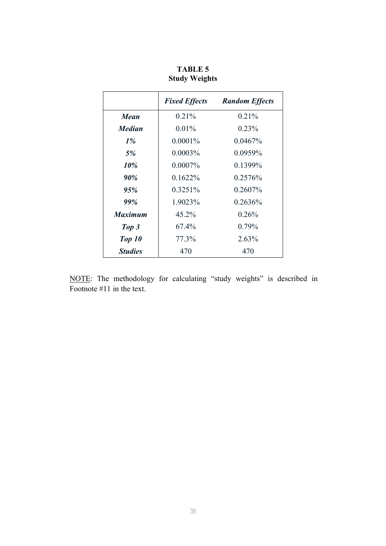|                | <b>Fixed Effects</b> | <b>Random Effects</b> |
|----------------|----------------------|-----------------------|
| Mean           | $0.21\%$             | $0.21\%$              |
| <b>Median</b>  | $0.01\%$             | $0.23\%$              |
| $1\%$          | $0.0001\%$           | $0.0467\%$            |
| 5%             | $0.0003\%$           | 0.0959%               |
| 10%            | $0.0007\%$           | 0.1399%               |
| 90%            | $0.1622\%$           | 0.2576%               |
| 95%            | $0.3251\%$           | $0.2607\%$            |
| 99%            | 1.9023%              | 0.2636%               |
| <b>Maximum</b> | 45.2%                | 0.26%                 |
| Top 3          | 67.4%                | $0.79\%$              |
| Top 10         | 77.3%                | 2.63%                 |
| <b>Studies</b> | 470                  | 470                   |

**TABLE 5 Study Weights** 

NOTE: The methodology for calculating "study weights" is described in Footnote #11 in the text.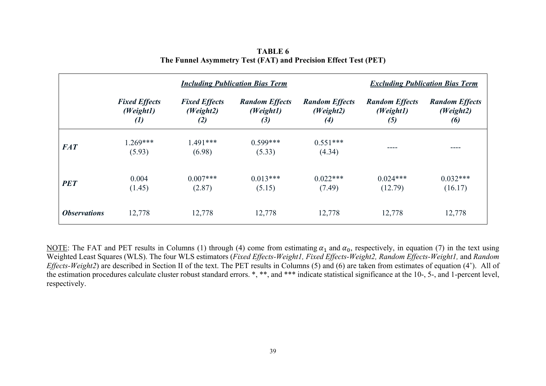|                            | <b>Including Publication Bias Term</b>                 |                                          |                                           |                                                         | <b>Excluding Publication Bias Term</b>    |                                           |  |
|----------------------------|--------------------------------------------------------|------------------------------------------|-------------------------------------------|---------------------------------------------------------|-------------------------------------------|-------------------------------------------|--|
|                            | <b>Fixed Effects</b><br>(Weight1)<br>$\left( l\right)$ | <b>Fixed Effects</b><br>(Weight2)<br>(2) | <b>Random Effects</b><br>(Weight1)<br>(3) | <b>Random Effects</b><br>(Weight2)<br>$\left( 4\right)$ | <b>Random Effects</b><br>(Weight1)<br>(5) | <b>Random Effects</b><br>(Weight2)<br>(6) |  |
| <b>FAT</b>                 | $1.269***$<br>(5.93)                                   | $1.491***$<br>(6.98)                     | $0.599***$<br>(5.33)                      | $0.551***$<br>(4.34)                                    | ----                                      |                                           |  |
| <b>PET</b>                 | 0.004<br>(1.45)                                        | $0.007***$<br>(2.87)                     | $0.013***$<br>(5.15)                      | $0.022***$<br>(7.49)                                    | $0.024***$<br>(12.79)                     | $0.032***$<br>(16.17)                     |  |
| <i><b>Observations</b></i> | 12,778                                                 | 12,778                                   | 12,778                                    | 12,778                                                  | 12,778                                    | 12,778                                    |  |

**TABLE 6 The Funnel Asymmetry Test (FAT) and Precision Effect Test (PET)**

NOTE: The FAT and PET results in Columns (1) through (4) come from estimating  $\alpha_1$  and  $\alpha_0$ , respectively, in equation (7) in the text using Weighted Least Squares (WLS). The four WLS estimators (*Fixed Effects-Weight1, Fixed Effects-Weight2, Random Effects-Weight1,* and *Random Effects-Weight2*) are described in Section II of the text. The PET results in Columns (5) and (6) are taken from estimates of equation (4'). All of the estimation procedures calculate cluster robust standard errors. \*, \*\*, and \*\*\* indicate statistical significance at the 10-, 5-, and 1-percent level, respectively.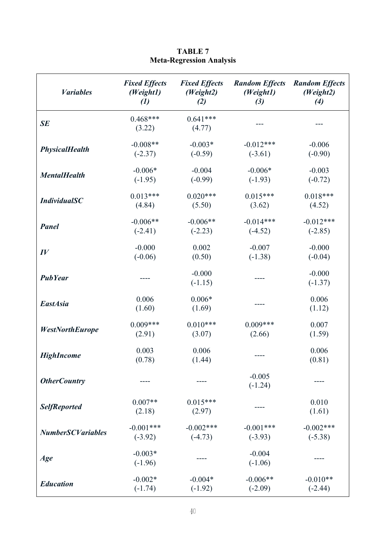| <b><i>Variables</i></b>  | <b>Fixed Effects</b>   | <b>Fixed Effects</b>  | <b>Random Effects</b> | <b>Random Effects</b> |
|--------------------------|------------------------|-----------------------|-----------------------|-----------------------|
|                          | (Weight1)              | (Weight2)             | (Weight1)             | (Weight2)             |
|                          | $\left( l\right)$      | (2)                   | (3)                   | (4)                   |
| SE                       | $0.468***$<br>(3.22)   | $0.641***$<br>(4.77)  |                       |                       |
| <b>PhysicalHealth</b>    | $-0.008**$             | $-0.003*$             | $-0.012***$           | $-0.006$              |
|                          | $(-2.37)$              | $(-0.59)$             | $(-3.61)$             | $(-0.90)$             |
| <b>MentalHealth</b>      | $-0.006*$              | $-0.004$              | $-0.006*$             | $-0.003$              |
|                          | $(-1.95)$              | $(-0.99)$             | $(-1.93)$             | $(-0.72)$             |
| <b>IndividualSC</b>      | $0.013***$             | $0.020***$            | $0.015***$            | $0.018***$            |
|                          | (4.84)                 | (5.50)                | (3.62)                | (4.52)                |
| <b>Panel</b>             | $-0.006**$             | $-0.006**$            | $-0.014***$           | $-0.012***$           |
|                          | $(-2.41)$              | $(-2.23)$             | $(-4.52)$             | $(-2.85)$             |
| $I\hspace{-.1em}V$       | $-0.000$               | 0.002                 | $-0.007$              | $-0.000$              |
|                          | $(-0.06)$              | (0.50)                | $(-1.38)$             | $(-0.04)$             |
| <b>PubYear</b>           |                        | $-0.000$<br>$(-1.15)$ |                       | $-0.000$<br>$(-1.37)$ |
| <b>EastAsia</b>          | 0.006<br>(1.60)        | $0.006*$<br>(1.69)    |                       | 0.006<br>(1.12)       |
| <b>WestNorthEurope</b>   | $0.009***$             | $0.010***$            | $0.009***$            | 0.007                 |
|                          | (2.91)                 | (3.07)                | (2.66)                | (1.59)                |
| <b>HighIncome</b>        | 0.003<br>(0.78)        | 0.006<br>(1.44)       |                       | 0.006<br>(0.81)       |
| <b>OtherCountry</b>      |                        |                       | $-0.005$<br>$(-1.24)$ |                       |
| <b>SelfReported</b>      | $0.007**$<br>(2.18)    | $0.015***$<br>(2.97)  |                       | 0.010<br>(1.61)       |
| <b>NumberSCVariables</b> | $-0.001***$            | $-0.002$ ***          | $-0.001***$           | $-0.002$ ***          |
|                          | $(-3.92)$              | $(-4.73)$             | $(-3.93)$             | $(-5.38)$             |
| Age                      | $-0.003*$<br>$(-1.96)$ |                       | $-0.004$<br>$(-1.06)$ |                       |
| <b>Education</b>         | $-0.002*$              | $-0.004*$             | $-0.006**$            | $-0.010**$            |
|                          | $(-1.74)$              | $(-1.92)$             | $(-2.09)$             | $(-2.44)$             |

## **TABLE 7 Meta-Regression Analysis**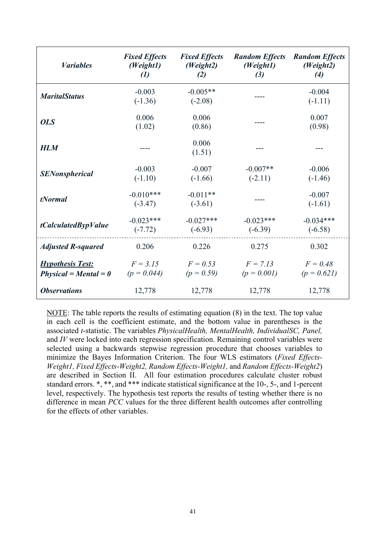| <b><i>Variables</i></b>                            | <b>Fixed Effects</b><br>(Weight1)<br>$\left( l\right)$ | <b>Fixed Effects</b><br>(Weight2)<br>(2) | <b>Random Effects</b><br>(Weight1)<br>(3) | <b>Random Effects</b><br>(Weight2)<br>(4) |
|----------------------------------------------------|--------------------------------------------------------|------------------------------------------|-------------------------------------------|-------------------------------------------|
| <b>MaritalStatus</b>                               | $-0.003$<br>$(-1.36)$                                  | $-0.005**$<br>$(-2.08)$                  |                                           | $-0.004$<br>$(-1.11)$                     |
| <b>OLS</b>                                         | 0.006<br>(1.02)                                        | 0.006<br>(0.86)                          |                                           | 0.007<br>(0.98)                           |
| <b>HLM</b>                                         |                                                        | 0.006<br>(1.51)                          |                                           |                                           |
| <b>SENonspherical</b>                              | $-0.003$<br>$(-1.10)$                                  | $-0.007$<br>$(-1.66)$                    | $-0.007**$<br>$(-2.11)$                   | $-0.006$<br>$(-1.46)$                     |
| <i>tNormal</i>                                     | $-0.010***$<br>$(-3.47)$                               | $-0.011**$<br>$(-3.61)$                  |                                           | $-0.007$<br>$(-1.61)$                     |
| tCalculatedBypValue                                | $-0.023***$<br>$(-7.72)$                               | $-0.027***$<br>$(-6.93)$                 | $-0.023***$<br>$(-6.39)$                  | $-0.034***$<br>$(-6.58)$                  |
| <b>Adjusted R-squared</b>                          | 0.206                                                  | 0.226                                    | 0.275                                     | 0.302                                     |
| <b>Hypothesis Test:</b><br>$Physical = Mental = 0$ | $F = 3.15$<br>$(p = 0.044)$                            | $F = 0.53$<br>$(p = 0.59)$               | $F = 7.13$<br>$(p = 0.001)$               | $F = 0.48$<br>$(p = 0.621)$               |
| <b>Observations</b>                                | 12,778                                                 | 12,778                                   | 12,778                                    | 12,778                                    |

NOTE: The table reports the results of estimating equation (8) in the text. The top value in each cell is the coefficient estimate, and the bottom value in parentheses is the associated *t*-statistic. The variables *PhysicalHealth, MentalHealth, IndividualSC, Panel,*  and *IV* were locked into each regression specification. Remaining control variables were selected using a backwards stepwise regression procedure that chooses variables to minimize the Bayes Information Criterion. The four WLS estimators (*Fixed Effects-Weight1, Fixed Effects-Weight2, Random Effects-Weight1,* and *Random Effects-Weight2*) are described in Section II. All four estimation procedures calculate cluster robust standard errors. \*, \*\*, and \*\*\* indicate statistical significance at the 10-, 5-, and 1-percent level, respectively. The hypothesis test reports the results of testing whether there is no difference in mean *PCC* values for the three different health outcomes after controlling for the effects of other variables.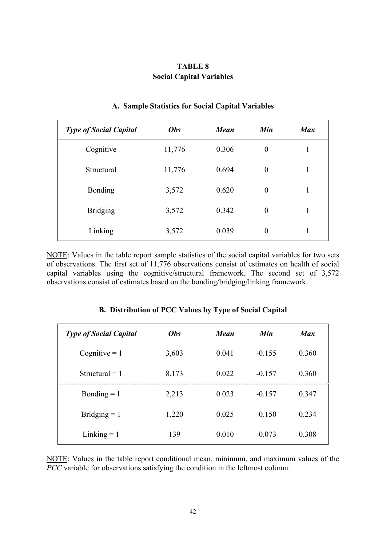## **TABLE 8 Social Capital Variables**

| <b>Type of Social Capital</b> | <b>Obs</b> | <b>Mean</b> | Min      | <b>Max</b> |
|-------------------------------|------------|-------------|----------|------------|
| Cognitive                     | 11,776     | 0.306       | $\theta$ |            |
| Structural                    | 11,776     | 0.694       | $\theta$ |            |
| <b>Bonding</b>                | 3,572      | 0.620       | $\theta$ | 1          |
| <b>Bridging</b>               | 3,572      | 0.342       | $\theta$ | 1          |
| Linking                       | 3,572      | 0.039       | $\theta$ |            |

#### **A. Sample Statistics for Social Capital Variables**

NOTE: Values in the table report sample statistics of the social capital variables for two sets of observations. The first set of 11,776 observations consist of estimates on health of social capital variables using the cognitive/structural framework. The second set of 3,572 observations consist of estimates based on the bonding/bridging/linking framework.

| <b>Type of Social Capital</b> | <b>Obs</b> | <b>Mean</b> | Min      | <b>Max</b> |
|-------------------------------|------------|-------------|----------|------------|
| Cognitive $= 1$               | 3,603      | 0.041       | $-0.155$ | 0.360      |
| Structural $= 1$              | 8,173      | 0.022       | $-0.157$ | 0.360      |
| Bonding $= 1$                 | 2,213      | 0.023       | $-0.157$ | 0.347      |
| Bridging $= 1$                | 1,220      | 0.025       | $-0.150$ | 0.234      |
| Linking $= 1$                 | 139        | 0.010       | $-0.073$ | 0.308      |

#### **B. Distribution of PCC Values by Type of Social Capital**

NOTE: Values in the table report conditional mean, minimum, and maximum values of the *PCC* variable for observations satisfying the condition in the leftmost column.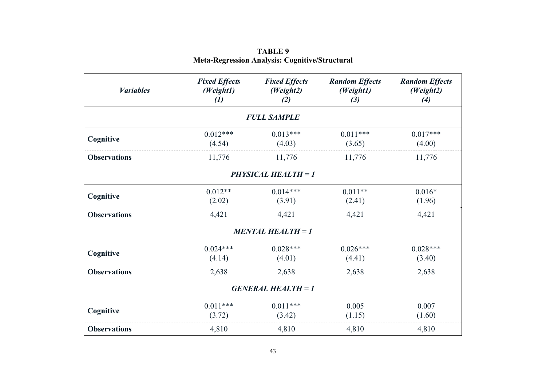| <b><i>Variables</i></b> | <b>Fixed Effects</b><br>(Weight1)<br>$\left( l\right)$ | <b>Fixed Effects</b><br>(Weight2)<br>(2) | <b>Random Effects</b><br>(Weight1)<br>(3) | <b>Random Effects</b><br>(Weight2)<br>(4) |
|-------------------------|--------------------------------------------------------|------------------------------------------|-------------------------------------------|-------------------------------------------|
|                         |                                                        | <b>FULL SAMPLE</b>                       |                                           |                                           |
| Cognitive               | $0.012***$<br>(4.54)                                   | $0.013***$<br>(4.03)                     | $0.011***$<br>(3.65)                      | $0.017***$<br>(4.00)                      |
| <b>Observations</b>     | 11,776                                                 | 11,776                                   | 11,776                                    | 11,776                                    |
|                         |                                                        | <b>PHYSICAL HEALTH = 1</b>               |                                           |                                           |
| Cognitive               | $0.012**$<br>(2.02)                                    | $0.014***$<br>(3.91)                     | $0.011**$<br>(2.41)                       | $0.016*$<br>(1.96)                        |
| <b>Observations</b>     | 4,421                                                  | 4,421                                    | 4,421                                     | 4,421                                     |
|                         |                                                        | <b>MENTAL HEALTH = 1</b>                 |                                           |                                           |
| Cognitive               | $0.024***$<br>(4.14)                                   | $0.028***$<br>(4.01)                     | $0.026***$<br>(4.41)                      | $0.028***$<br>(3.40)                      |
| <b>Observations</b>     | 2,638                                                  | 2,638                                    | 2,638                                     | 2,638                                     |
|                         |                                                        | <b>GENERAL HEALTH = 1</b>                |                                           |                                           |
| Cognitive               | $0.011***$<br>(3.72)                                   | $0.011***$<br>(3.42)                     | 0.005<br>(1.15)                           | 0.007<br>(1.60)                           |
| <b>Observations</b>     | 4,810                                                  | 4,810                                    | 4,810                                     | 4,810                                     |

**TABLE 9 Meta-Regression Analysis: Cognitive/Structural**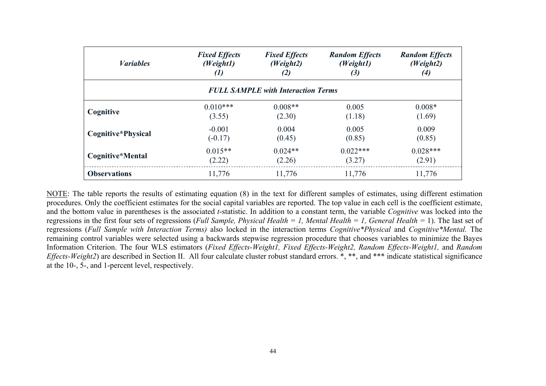| <b><i>Variables</i></b> | <b>Fixed Effects</b> | <b>Fixed Effects</b>                      | <b>Random Effects</b> | <b>Random Effects</b> |
|-------------------------|----------------------|-------------------------------------------|-----------------------|-----------------------|
|                         | (Weight1)            | (Weight2)                                 | (Weight1)             | (Weight2)             |
|                         | $\left( l\right)$    | (2)                                       | $(3)$                 | $\left(4\right)$      |
|                         |                      | <b>FULL SAMPLE with Interaction Terms</b> |                       |                       |
| Cognitive               | $0.010***$           | $0.008**$                                 | 0.005                 | $0.008*$              |
|                         | (3.55)               | (2.30)                                    | (1.18)                | (1.69)                |
| Cognitive*Physical      | $-0.001$             | 0.004                                     | 0.005                 | 0.009                 |
|                         | $(-0.17)$            | (0.45)                                    | (0.85)                | (0.85)                |
| Cognitive*Mental        | $0.015**$            | $0.024**$                                 | $0.022***$            | $0.028***$            |
|                         | (2.22)               | (2.26)                                    | (3.27)                | (2.91)                |
| <b>Observations</b>     | 11,776               | 11,776                                    | 11,776                | 11,776                |

NOTE: The table reports the results of estimating equation (8) in the text for different samples of estimates, using different estimation procedures. Only the coefficient estimates for the social capital variables are reported. The top value in each cell is the coefficient estimate, and the bottom value in parentheses is the associated *t*-statistic. In addition to a constant term, the variable *Cognitive* was locked into the regressions in the first four sets of regressions (*Full Sample, Physical Health = 1, Mental Health = 1, General Health =* 1). The last set of regressions (*Full Sample with Interaction Terms)* also locked in the interaction terms *Cognitive\*Physical* and *Cognitive\*Mental.* The remaining control variables were selected using a backwards stepwise regression procedure that chooses variables to minimize the Bayes Information Criterion. The four WLS estimators (*Fixed Effects-Weight1, Fixed Effects-Weight2, Random Effects-Weight1,* and *Random Effects-Weight2*) are described in Section II. All four calculate cluster robust standard errors. \*, \*\*, and \*\*\* indicate statistical significance at the 10-, 5-, and 1-percent level, respectively.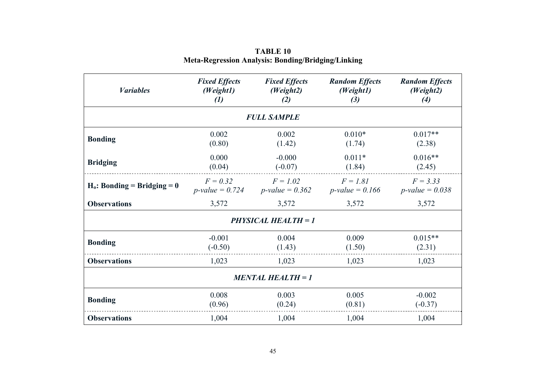| <b><i>Variables</i></b>        | <b>Fixed Effects</b><br><b>Fixed Effects</b><br>(Weight1)<br>(Weight2)<br>(1)<br>(2) |                       | <b>Random Effects</b><br>(Weight1)<br>(3)                                                 | <b>Random Effects</b><br>(Weight2)<br>(4) |  |  |
|--------------------------------|--------------------------------------------------------------------------------------|-----------------------|-------------------------------------------------------------------------------------------|-------------------------------------------|--|--|
|                                |                                                                                      | <b>FULL SAMPLE</b>    |                                                                                           |                                           |  |  |
| <b>Bonding</b>                 | 0.002<br>(0.80)                                                                      | 0.002<br>(1.42)       | $0.010*$<br>(1.74)                                                                        | $0.017**$<br>(2.38)                       |  |  |
| <b>Bridging</b>                | 0.000<br>(0.04)                                                                      | $-0.000$<br>$(-0.07)$ | $0.011*$<br>(1.84)                                                                        | $0.016**$<br>(2.45)                       |  |  |
| $H_0$ : Bonding = Bridging = 0 | $F = 0.32$                                                                           | $F = 1.02$            | $F = 1.81$<br>$p$ -value = 0.724 $p$ -value = 0.362 $p$ -value = 0.166 $p$ -value = 0.038 | $F = 3.33$                                |  |  |
| <b>Observations</b>            | 3,572                                                                                | 3,572                 | 3,572                                                                                     | 3,572                                     |  |  |
| <b>PHYSICAL HEALTH = 1</b>     |                                                                                      |                       |                                                                                           |                                           |  |  |
| <b>Bonding</b>                 | $-0.001$<br>$(-0.50)$                                                                | 0.004<br>(1.43)       | 0.009<br>(1.50)                                                                           | $0.015**$<br>(2.31)                       |  |  |
| <b>Observations</b>            | 1,023<br>1,023<br>1,023                                                              |                       | 1,023                                                                                     |                                           |  |  |
| <b>MENTAL HEALTH = 1</b>       |                                                                                      |                       |                                                                                           |                                           |  |  |
| <b>Bonding</b>                 | 0.008<br>(0.96)                                                                      | 0.003<br>(0.24)       | 0.005<br>(0.81)                                                                           | $-0.002$<br>$(-0.37)$                     |  |  |
| <b>Observations</b>            | 1,004                                                                                | 1,004                 | 1,004                                                                                     | 1,004                                     |  |  |

**TABLE 10 Meta-Regression Analysis: Bonding/Bridging/Linking**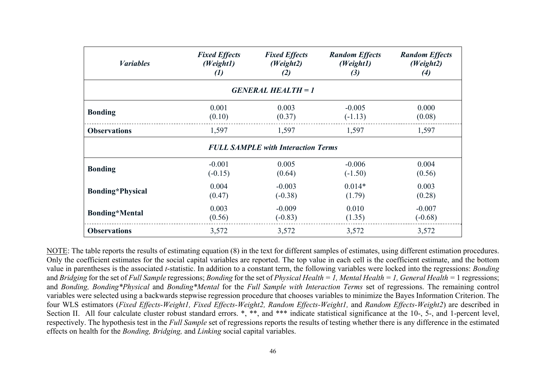| <b><i>Variables</i></b> | <b>Fixed Effects</b> | <b>Fixed Effects</b>                      | <b>Random Effects</b> | <b>Random Effects</b> |
|-------------------------|----------------------|-------------------------------------------|-----------------------|-----------------------|
|                         | (Weight1)            | (Weight2)                                 | (Weight1)             | (Weight2)             |
|                         | $\left( l\right)$    | (2)                                       | (3)                   | $\left( 4\right)$     |
|                         |                      | <b>GENERAL HEALTH = 1</b>                 |                       |                       |
| <b>Bonding</b>          | 0.001                | 0.003                                     | $-0.005$              | 0.000                 |
|                         | (0.10)               | (0.37)                                    | $(-1.13)$             | (0.08)                |
| <b>Observations</b>     | 1,597                | 1,597                                     | 1,597                 | 1,597                 |
|                         |                      | <b>FULL SAMPLE with Interaction Terms</b> |                       |                       |
| <b>Bonding</b>          | $-0.001$             | 0.005                                     | $-0.006$              | 0.004                 |
|                         | $(-0.15)$            | (0.64)                                    | $(-1.50)$             | (0.56)                |
| <b>Bonding*Physical</b> | 0.004                | $-0.003$                                  | $0.014*$              | 0.003                 |
|                         | (0.47)               | $(-0.38)$                                 | (1.79)                | (0.28)                |
| <b>Bonding*Mental</b>   | 0.003                | $-0.009$                                  | 0.010                 | $-0.007$              |
|                         | (0.56)               | $(-0.83)$                                 | (1.35)                | $(-0.68)$             |
| <b>Observations</b>     | 3,572                | 3,572                                     | 3,572                 | 3,572                 |

NOTE: The table reports the results of estimating equation (8) in the text for different samples of estimates, using different estimation procedures. Only the coefficient estimates for the social capital variables are reported. The top value in each cell is the coefficient estimate, and the bottom value in parentheses is the associated *t*-statistic. In addition to a constant term, the following variables were locked into the regressions: *Bonding*  and *Bridging* for the set of *Full Sample* regressions; *Bonding* for the set of *Physical Health = 1, Mental Health = 1, General Health =* 1 regressions; and *Bonding, Bonding\*Physical* and *Bonding\*Mental* for the *Full Sample with Interaction Terms* set of regressions. The remaining control variables were selected using a backwards stepwise regression procedure that chooses variables to minimize the Bayes Information Criterion. The four WLS estimators (*Fixed Effects-Weight1, Fixed Effects-Weight2, Random Effects-Weight1,* and *Random Effects-Weight2*) are described in Section II. All four calculate cluster robust standard errors. \*, \*\*, and \*\*\* indicate statistical significance at the 10-, 5-, and 1-percent level, respectively. The hypothesis test in the *Full Sample* set of regressions reports the results of testing whether there is any difference in the estimated effects on health for the *Bonding, Bridging,* and *Linking* social capital variables.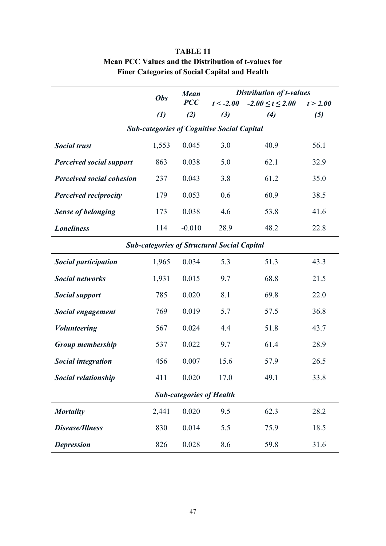|                                                   | <b>Mean</b><br><b>Obs</b> |                | <b>Distribution of t-values</b>                    |                        |          |  |
|---------------------------------------------------|---------------------------|----------------|----------------------------------------------------|------------------------|----------|--|
|                                                   |                           | $\textit{PCC}$ | $t < -2.00$                                        | $-2.00 \le t \le 2.00$ | t > 2.00 |  |
|                                                   | $\left( l\right)$         | (2)            | (3)                                                | (4)                    | $(5)$    |  |
| <b>Sub-categories of Cognitive Social Capital</b> |                           |                |                                                    |                        |          |  |
| <b>Social trust</b>                               | 1,553                     | 0.045          | 3.0                                                | 40.9                   | 56.1     |  |
| <b>Perceived social support</b>                   | 863                       | 0.038          | 5.0                                                | 62.1                   | 32.9     |  |
| <b>Perceived social cohesion</b>                  | 237                       | 0.043          | 3.8                                                | 61.2                   | 35.0     |  |
| <b>Perceived reciprocity</b>                      | 179                       | 0.053          | 0.6                                                | 60.9                   | 38.5     |  |
| <b>Sense of belonging</b>                         | 173                       | 0.038          | 4.6                                                | 53.8                   | 41.6     |  |
| <b>Loneliness</b>                                 | 114                       | $-0.010$       | 28.9                                               | 48.2                   | 22.8     |  |
|                                                   |                           |                | <b>Sub-categories of Structural Social Capital</b> |                        |          |  |
| <b>Social participation</b>                       | 1,965                     | 0.034          | 5.3                                                | 51.3                   | 43.3     |  |
| <b>Social networks</b>                            | 1,931                     | 0.015          | 9.7                                                | 68.8                   | 21.5     |  |
| <b>Social support</b>                             | 785                       | 0.020          | 8.1                                                | 69.8                   | 22.0     |  |
| <b>Social engagement</b>                          | 769                       | 0.019          | 5.7                                                | 57.5                   | 36.8     |  |
| <b>Volunteering</b>                               | 567                       | 0.024          | 4.4                                                | 51.8                   | 43.7     |  |
| Group membership                                  | 537                       | 0.022          | 9.7                                                | 61.4                   | 28.9     |  |
| <b>Social integration</b>                         | 456                       | 0.007          | 15.6                                               | 57.9                   | 26.5     |  |
| Social relationship                               | 411                       | 0.020          | 17.0                                               | 49.1                   | 33.8     |  |
| <b>Sub-categories of Health</b>                   |                           |                |                                                    |                        |          |  |
| <b>Mortality</b>                                  | 2,441                     | 0.020          | 9.5                                                | 62.3                   | 28.2     |  |
| <b>Disease/Illness</b>                            | 830                       | 0.014          | 5.5                                                | 75.9                   | 18.5     |  |
| <b>Depression</b>                                 | 826                       | 0.028          | 8.6                                                | 59.8                   | 31.6     |  |

# **TABLE 11 Mean PCC Values and the Distribution of t-values for Finer Categories of Social Capital and Health**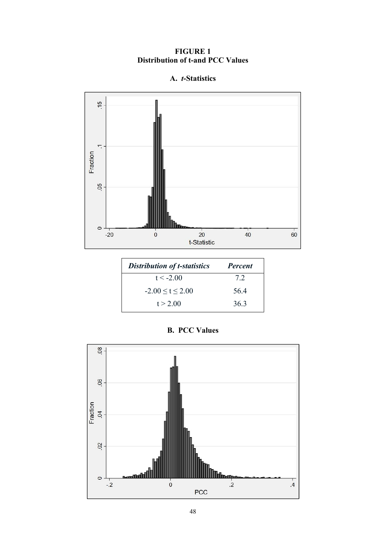## **FIGURE 1 Distribution of t-and PCC Values**

# **A.** *t***-Statistics**



| <b>Distribution of t-statistics</b> | <b>Percent</b> |  |
|-------------------------------------|----------------|--|
| $t < -2.00$                         | 7.2            |  |
| $-2.00 \le t \le 2.00$              | 56.4           |  |
| t > 2.00                            | 36.3           |  |

# **B. PCC Values**

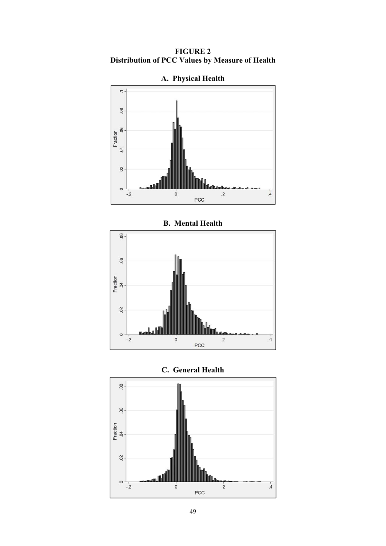**FIGURE 2 Distribution of PCC Values by Measure of Health** 



**A. Physical Health** 

**B. Mental Health** 





**C. General Health**